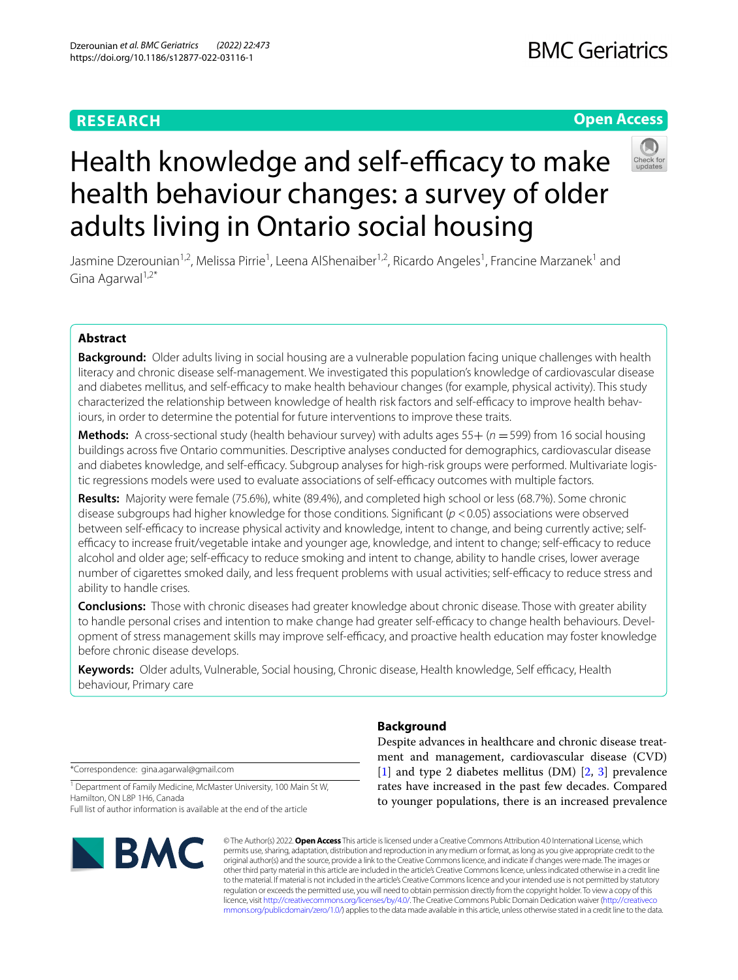# **RESEARCH**

# **Open Access**



# Health knowledge and self-efficacy to make health behaviour changes: a survey of older adults living in Ontario social housing

Jasmine Dzerounian<sup>1,2</sup>, Melissa Pirrie<sup>1</sup>, Leena AlShenaiber<sup>1,2</sup>, Ricardo Angeles<sup>1</sup>, Francine Marzanek<sup>1</sup> and Gina Agarwal<sup>1,2\*</sup>

# **Abstract**

**Background:** Older adults living in social housing are a vulnerable population facing unique challenges with health literacy and chronic disease self-management. We investigated this population's knowledge of cardiovascular disease and diabetes mellitus, and self-efficacy to make health behaviour changes (for example, physical activity). This study characterized the relationship between knowledge of health risk factors and self-efficacy to improve health behaviours, in order to determine the potential for future interventions to improve these traits.

**Methods:** A cross-sectional study (health behaviour survey) with adults ages 55+ (*n* = 599) from 16 social housing buildings across fve Ontario communities. Descriptive analyses conducted for demographics, cardiovascular disease and diabetes knowledge, and self-efficacy. Subgroup analyses for high-risk groups were performed. Multivariate logistic regressions models were used to evaluate associations of self-efficacy outcomes with multiple factors.

**Results:** Majority were female (75.6%), white (89.4%), and completed high school or less (68.7%). Some chronic disease subgroups had higher knowledge for those conditions. Signifcant (*p* <0.05) associations were observed between self-efficacy to increase physical activity and knowledge, intent to change, and being currently active; selfefficacy to increase fruit/vegetable intake and younger age, knowledge, and intent to change; self-efficacy to reduce alcohol and older age; self-efficacy to reduce smoking and intent to change, ability to handle crises, lower average number of cigarettes smoked daily, and less frequent problems with usual activities; self-efficacy to reduce stress and ability to handle crises.

**Conclusions:** Those with chronic diseases had greater knowledge about chronic disease. Those with greater ability to handle personal crises and intention to make change had greater self-efficacy to change health behaviours. Development of stress management skills may improve self-efficacy, and proactive health education may foster knowledge before chronic disease develops.

Keywords: Older adults, Vulnerable, Social housing, Chronic disease, Health knowledge, Self efficacy, Health behaviour, Primary care

\*Correspondence: gina.agarwal@gmail.com

<sup>1</sup> Department of Family Medicine, McMaster University, 100 Main St W, Hamilton, ON L8P 1H6, Canada Full list of author information is available at the end of the article



# **Background**

Despite advances in healthcare and chronic disease treatment and management, cardiovascular disease (CVD) [[1\]](#page-15-0) and type 2 diabetes mellitus (DM) [[2,](#page-15-1) [3\]](#page-15-2) prevalence rates have increased in the past few decades. Compared to younger populations, there is an increased prevalence

© The Author(s) 2022. **Open Access** This article is licensed under a Creative Commons Attribution 4.0 International License, which permits use, sharing, adaptation, distribution and reproduction in any medium or format, as long as you give appropriate credit to the original author(s) and the source, provide a link to the Creative Commons licence, and indicate if changes were made. The images or other third party material in this article are included in the article's Creative Commons licence, unless indicated otherwise in a credit line to the material. If material is not included in the article's Creative Commons licence and your intended use is not permitted by statutory regulation or exceeds the permitted use, you will need to obtain permission directly from the copyright holder. To view a copy of this licence, visit [http://creativecommons.org/licenses/by/4.0/.](http://creativecommons.org/licenses/by/4.0/) The Creative Commons Public Domain Dedication waiver ([http://creativeco](http://creativecommons.org/publicdomain/zero/1.0/) [mmons.org/publicdomain/zero/1.0/](http://creativecommons.org/publicdomain/zero/1.0/)) applies to the data made available in this article, unless otherwise stated in a credit line to the data.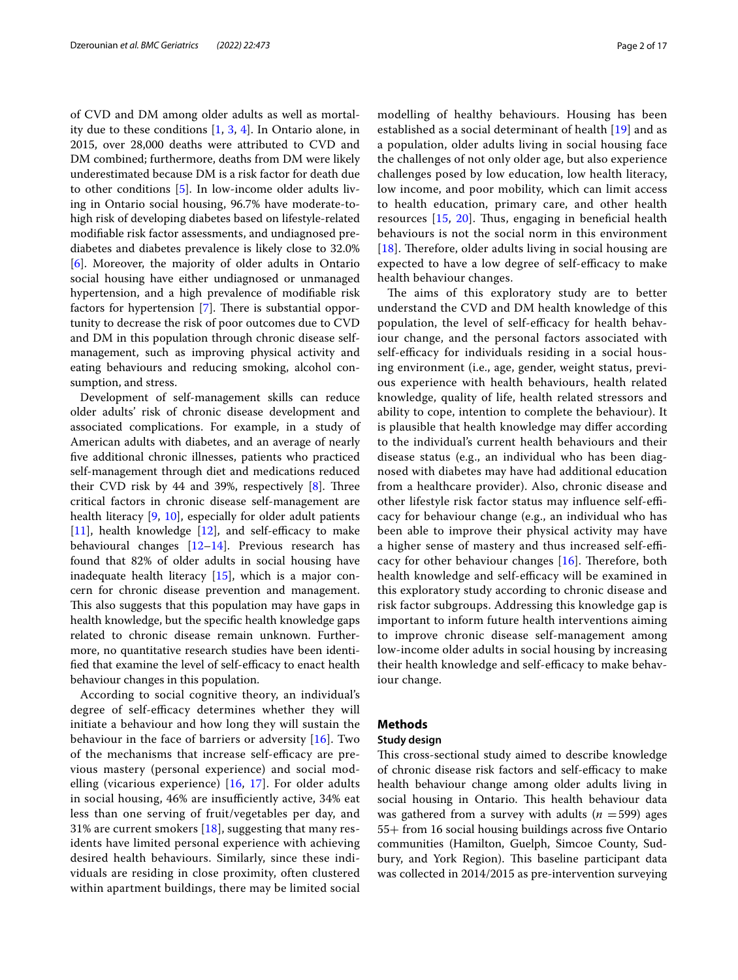of CVD and DM among older adults as well as mortality due to these conditions [[1,](#page-15-0) [3,](#page-15-2) [4](#page-15-3)]. In Ontario alone, in 2015, over 28,000 deaths were attributed to CVD and DM combined; furthermore, deaths from DM were likely underestimated because DM is a risk factor for death due to other conditions [[5\]](#page-15-4). In low-income older adults living in Ontario social housing, 96.7% have moderate-tohigh risk of developing diabetes based on lifestyle-related modifable risk factor assessments, and undiagnosed prediabetes and diabetes prevalence is likely close to 32.0% [[6\]](#page-15-5). Moreover, the majority of older adults in Ontario social housing have either undiagnosed or unmanaged hypertension, and a high prevalence of modifable risk factors for hypertension  $[7]$  $[7]$ . There is substantial opportunity to decrease the risk of poor outcomes due to CVD and DM in this population through chronic disease selfmanagement, such as improving physical activity and eating behaviours and reducing smoking, alcohol consumption, and stress.

Development of self-management skills can reduce older adults' risk of chronic disease development and associated complications. For example, in a study of American adults with diabetes, and an average of nearly fve additional chronic illnesses, patients who practiced self-management through diet and medications reduced their CVD risk by 44 and 39%, respectively  $[8]$  $[8]$ . Three critical factors in chronic disease self-management are health literacy [\[9](#page-15-8), [10\]](#page-15-9), especially for older adult patients  $[11]$  $[11]$ , health knowledge  $[12]$  $[12]$ , and self-efficacy to make behavioural changes [[12](#page-15-11)[–14](#page-15-12)]. Previous research has found that 82% of older adults in social housing have inadequate health literacy  $[15]$  $[15]$ , which is a major concern for chronic disease prevention and management. This also suggests that this population may have gaps in health knowledge, but the specifc health knowledge gaps related to chronic disease remain unknown. Furthermore, no quantitative research studies have been identified that examine the level of self-efficacy to enact health behaviour changes in this population.

According to social cognitive theory, an individual's degree of self-efficacy determines whether they will initiate a behaviour and how long they will sustain the behaviour in the face of barriers or adversity [[16\]](#page-15-14). Two of the mechanisms that increase self-efficacy are previous mastery (personal experience) and social modelling (vicarious experience) [\[16](#page-15-14), [17\]](#page-15-15). For older adults in social housing, 46% are insufficiently active, 34% eat less than one serving of fruit/vegetables per day, and 31% are current smokers [\[18\]](#page-15-16), suggesting that many residents have limited personal experience with achieving desired health behaviours. Similarly, since these individuals are residing in close proximity, often clustered within apartment buildings, there may be limited social modelling of healthy behaviours. Housing has been established as a social determinant of health [\[19](#page-15-17)] and as a population, older adults living in social housing face the challenges of not only older age, but also experience challenges posed by low education, low health literacy, low income, and poor mobility, which can limit access to health education, primary care, and other health resources  $[15, 20]$  $[15, 20]$  $[15, 20]$  $[15, 20]$  $[15, 20]$ . Thus, engaging in beneficial health behaviours is not the social norm in this environment [[18](#page-15-16)]. Therefore, older adults living in social housing are expected to have a low degree of self-efficacy to make health behaviour changes.

The aims of this exploratory study are to better understand the CVD and DM health knowledge of this population, the level of self-efficacy for health behaviour change, and the personal factors associated with self-efficacy for individuals residing in a social housing environment (i.e., age, gender, weight status, previous experience with health behaviours, health related knowledge, quality of life, health related stressors and ability to cope, intention to complete the behaviour). It is plausible that health knowledge may difer according to the individual's current health behaviours and their disease status (e.g., an individual who has been diagnosed with diabetes may have had additional education from a healthcare provider). Also, chronic disease and other lifestyle risk factor status may influence self-efficacy for behaviour change (e.g., an individual who has been able to improve their physical activity may have a higher sense of mastery and thus increased self-efficacy for other behaviour changes  $[16]$  $[16]$ . Therefore, both health knowledge and self-efficacy will be examined in this exploratory study according to chronic disease and risk factor subgroups. Addressing this knowledge gap is important to inform future health interventions aiming to improve chronic disease self-management among low-income older adults in social housing by increasing their health knowledge and self-efficacy to make behaviour change.

# **Methods**

#### **Study design**

This cross-sectional study aimed to describe knowledge of chronic disease risk factors and self-efficacy to make health behaviour change among older adults living in social housing in Ontario. This health behaviour data was gathered from a survey with adults  $(n = 599)$  ages 55+ from 16 social housing buildings across fve Ontario communities (Hamilton, Guelph, Simcoe County, Sudbury, and York Region). This baseline participant data was collected in 2014/2015 as pre-intervention surveying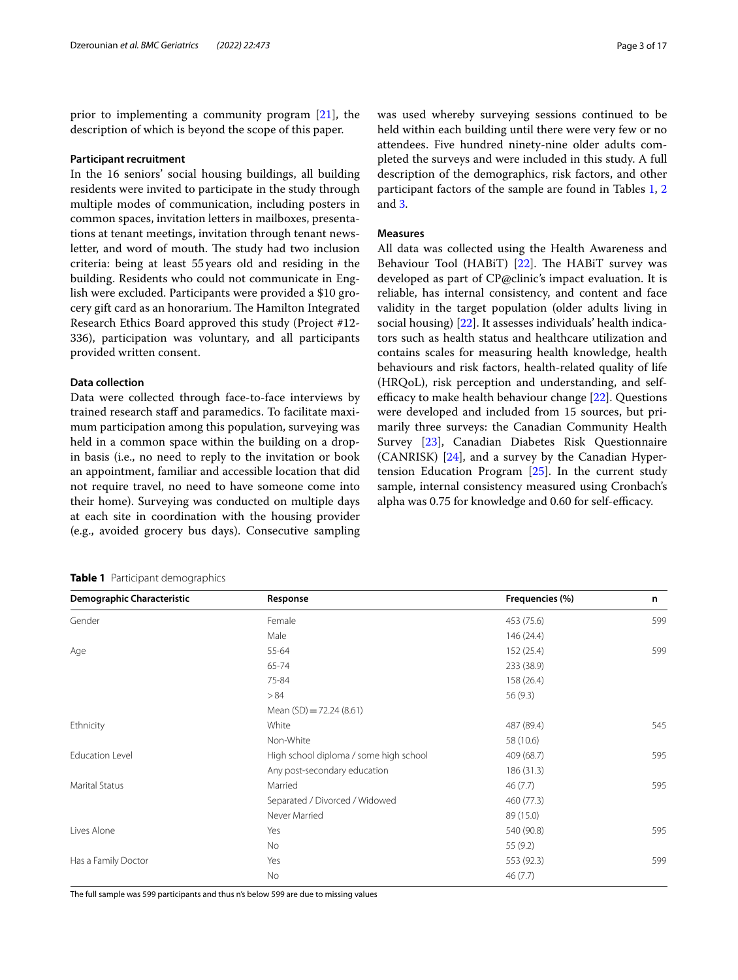prior to implementing a community program [\[21\]](#page-16-1), the description of which is beyond the scope of this paper.

#### **Participant recruitment**

In the 16 seniors' social housing buildings, all building residents were invited to participate in the study through multiple modes of communication, including posters in common spaces, invitation letters in mailboxes, presentations at tenant meetings, invitation through tenant newsletter, and word of mouth. The study had two inclusion criteria: being at least 55years old and residing in the building. Residents who could not communicate in English were excluded. Participants were provided a \$10 grocery gift card as an honorarium. The Hamilton Integrated Research Ethics Board approved this study (Project #12- 336), participation was voluntary, and all participants provided written consent.

#### **Data collection**

Data were collected through face-to-face interviews by trained research staff and paramedics. To facilitate maximum participation among this population, surveying was held in a common space within the building on a dropin basis (i.e., no need to reply to the invitation or book an appointment, familiar and accessible location that did not require travel, no need to have someone come into their home). Surveying was conducted on multiple days at each site in coordination with the housing provider (e.g., avoided grocery bus days). Consecutive sampling

<span id="page-2-0"></span>

was used whereby surveying sessions continued to be held within each building until there were very few or no attendees. Five hundred ninety-nine older adults completed the surveys and were included in this study. A full description of the demographics, risk factors, and other participant factors of the sample are found in Tables [1,](#page-2-0) [2](#page-3-0) and [3](#page-4-0).

#### **Measures**

All data was collected using the Health Awareness and Behaviour Tool (HABiT)  $[22]$  $[22]$ . The HABiT survey was developed as part of CP@clinic's impact evaluation. It is reliable, has internal consistency, and content and face validity in the target population (older adults living in social housing) [[22](#page-16-2)]. It assesses individuals' health indicators such as health status and healthcare utilization and contains scales for measuring health knowledge, health behaviours and risk factors, health-related quality of life (HRQoL), risk perception and understanding, and selfefficacy to make health behaviour change  $[22]$ . Questions were developed and included from 15 sources, but primarily three surveys: the Canadian Community Health Survey [\[23](#page-16-3)], Canadian Diabetes Risk Questionnaire (CANRISK) [[24](#page-16-4)], and a survey by the Canadian Hypertension Education Program [[25\]](#page-16-5). In the current study sample, internal consistency measured using Cronbach's alpha was 0.75 for knowledge and 0.60 for self-efficacy.

| Demographic Characteristic | Response                               | Frequencies (%) | n   |
|----------------------------|----------------------------------------|-----------------|-----|
| Gender                     | Female                                 | 453 (75.6)      | 599 |
|                            | Male                                   | 146 (24.4)      |     |
| Age                        | 55-64                                  | 152 (25.4)      | 599 |
|                            | 65-74                                  | 233 (38.9)      |     |
|                            | 75-84                                  | 158 (26.4)      |     |
|                            | > 84                                   | 56 (9.3)        |     |
|                            | Mean $(SD) = 72.24 (8.61)$             |                 |     |
| Ethnicity                  | White                                  | 487 (89.4)      | 545 |
|                            | Non-White                              | 58 (10.6)       |     |
| <b>Education Level</b>     | High school diploma / some high school | 409 (68.7)      | 595 |
|                            | Any post-secondary education           | 186 (31.3)      |     |
| <b>Marital Status</b>      | Married                                | 46(7.7)         | 595 |
|                            | Separated / Divorced / Widowed         | 460 (77.3)      |     |
|                            | Never Married                          | 89 (15.0)       |     |
| Lives Alone                | Yes                                    | 540 (90.8)      | 595 |
|                            | No                                     | 55 (9.2)        |     |
| Has a Family Doctor        | Yes                                    | 553 (92.3)      | 599 |
|                            | No                                     | 46(7.7)         |     |

The full sample was 599 participants and thus n's below 599 are due to missing values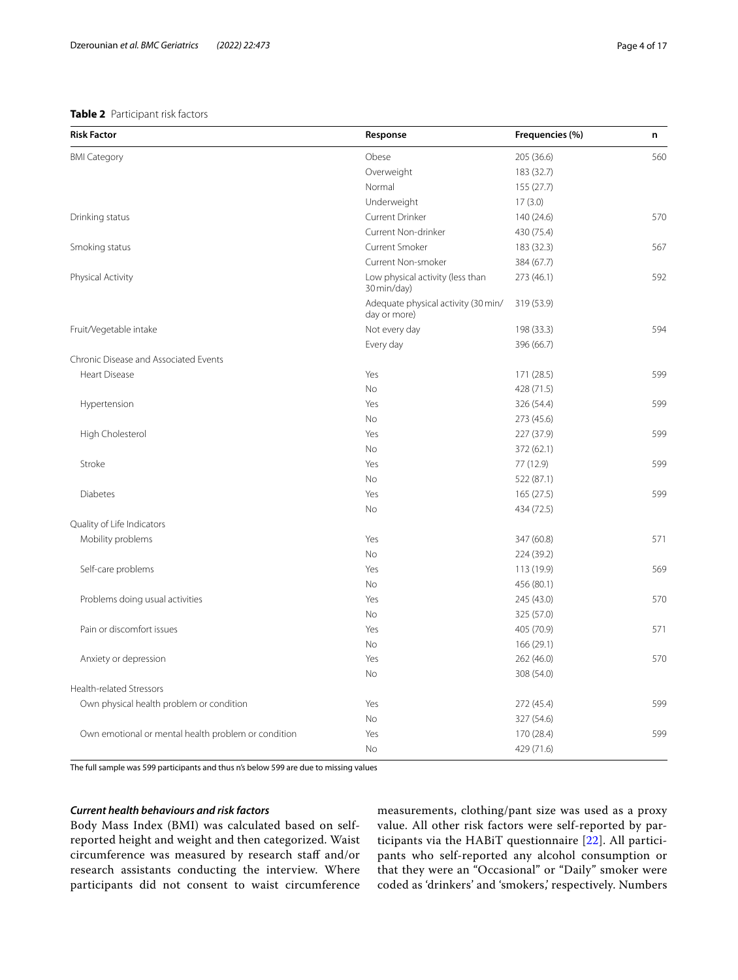#### <span id="page-3-0"></span>**Table 2** Participant risk factors

| <b>Risk Factor</b>                                  | Response                                            | Frequencies (%) | n   |
|-----------------------------------------------------|-----------------------------------------------------|-----------------|-----|
| <b>BMI Category</b>                                 | Obese                                               | 205 (36.6)      | 560 |
|                                                     | Overweight                                          | 183 (32.7)      |     |
|                                                     | Normal                                              | 155 (27.7)      |     |
|                                                     | Underweight                                         | 17(3.0)         |     |
| Drinking status                                     | Current Drinker                                     | 140 (24.6)      | 570 |
|                                                     | Current Non-drinker                                 | 430 (75.4)      |     |
| Smoking status                                      | Current Smoker                                      | 183 (32.3)      | 567 |
|                                                     | Current Non-smoker                                  | 384 (67.7)      |     |
| Physical Activity                                   | Low physical activity (less than<br>30 min/day)     | 273 (46.1)      | 592 |
|                                                     | Adequate physical activity (30 min/<br>day or more) | 319 (53.9)      |     |
| Fruit/Vegetable intake                              | Not every day                                       | 198 (33.3)      | 594 |
|                                                     | Every day                                           | 396 (66.7)      |     |
| Chronic Disease and Associated Events               |                                                     |                 |     |
| <b>Heart Disease</b>                                | Yes                                                 | 171 (28.5)      | 599 |
|                                                     | <b>No</b>                                           | 428 (71.5)      |     |
| Hypertension                                        | Yes                                                 | 326 (54.4)      | 599 |
|                                                     | No                                                  | 273 (45.6)      |     |
| High Cholesterol                                    | Yes                                                 | 227 (37.9)      | 599 |
|                                                     | No                                                  | 372 (62.1)      |     |
| Stroke                                              | Yes                                                 | 77 (12.9)       | 599 |
|                                                     | No                                                  | 522 (87.1)      |     |
| <b>Diabetes</b>                                     | Yes                                                 | 165 (27.5)      | 599 |
|                                                     | No                                                  | 434 (72.5)      |     |
| Quality of Life Indicators                          |                                                     |                 |     |
| Mobility problems                                   | Yes                                                 | 347 (60.8)      | 571 |
|                                                     | No                                                  | 224 (39.2)      |     |
| Self-care problems                                  | Yes                                                 | 113 (19.9)      | 569 |
|                                                     | <b>No</b>                                           | 456 (80.1)      |     |
| Problems doing usual activities                     | Yes                                                 | 245 (43.0)      | 570 |
|                                                     | No                                                  | 325 (57.0)      |     |
| Pain or discomfort issues                           | Yes                                                 | 405 (70.9)      | 571 |
|                                                     | No                                                  | 166 (29.1)      |     |
| Anxiety or depression                               | Yes                                                 | 262 (46.0)      | 570 |
|                                                     | No                                                  | 308 (54.0)      |     |
| Health-related Stressors                            |                                                     |                 |     |
| Own physical health problem or condition            | Yes                                                 | 272 (45.4)      | 599 |
|                                                     | <b>No</b>                                           | 327 (54.6)      |     |
| Own emotional or mental health problem or condition | Yes                                                 | 170 (28.4)      | 599 |
|                                                     | No                                                  | 429 (71.6)      |     |

The full sample was 599 participants and thus n's below 599 are due to missing values

# *Current health behaviours and risk factors*

Body Mass Index (BMI) was calculated based on selfreported height and weight and then categorized. Waist circumference was measured by research staff and/or research assistants conducting the interview. Where participants did not consent to waist circumference

measurements, clothing/pant size was used as a proxy value. All other risk factors were self-reported by participants via the HABiT questionnaire [\[22](#page-16-2)]. All participants who self-reported any alcohol consumption or that they were an "Occasional" or "Daily" smoker were coded as 'drinkers' and 'smokers,' respectively. Numbers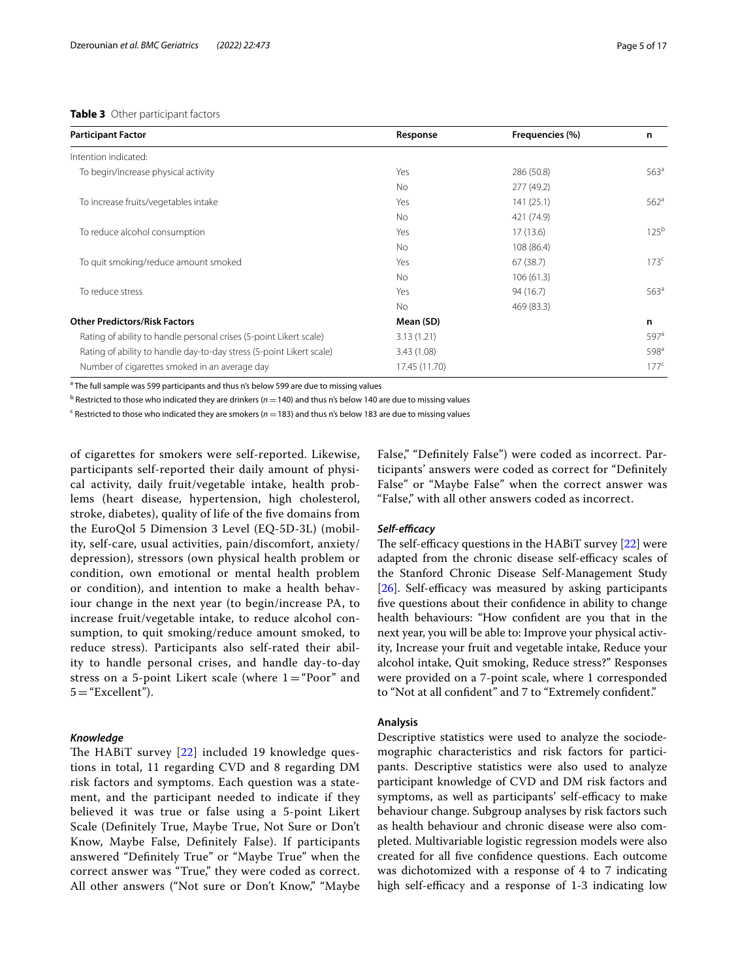#### <span id="page-4-0"></span>**Table 3** Other participant factors

| Participant Factor                                                   | Response      | Frequencies (%) | n                  |
|----------------------------------------------------------------------|---------------|-----------------|--------------------|
| Intention indicated:                                                 |               |                 |                    |
| To begin/increase physical activity                                  | Yes           | 286 (50.8)      | 563 <sup>a</sup>   |
|                                                                      | No.           | 277 (49.2)      |                    |
| To increase fruits/vegetables intake                                 | Yes           | 141(25.1)       | 562 <sup>3</sup>   |
|                                                                      | No.           | 421 (74.9)      |                    |
| To reduce alcohol consumption                                        | Yes           | 17(13.6)        | $125^{\text{t}}$   |
|                                                                      | No.           | 108 (86.4)      |                    |
| To quit smoking/reduce amount smoked                                 | Yes           | 67(38.7)        | 173 <sup>c</sup>   |
|                                                                      | No            | 106(61.3)       |                    |
| To reduce stress                                                     | Yes           | 94 (16.7)       | 563 <sup>a</sup>   |
|                                                                      | <b>No</b>     | 469 (83.3)      |                    |
| <b>Other Predictors/Risk Factors</b>                                 | Mean (SD)     |                 | n                  |
| Rating of ability to handle personal crises (5-point Likert scale)   | 3.13(1.21)    |                 | $597$ <sup>a</sup> |
| Rating of ability to handle day-to-day stress (5-point Likert scale) | 3.43(1.08)    |                 | 598 <sup>a</sup>   |
| Number of cigarettes smoked in an average day                        | 17.45 (11.70) |                 | $177^{\circ}$      |

<sup>a</sup> The full sample was 599 participants and thus n's below 599 are due to missing values

<sup>b</sup> Restricted to those who indicated they are drinkers (*n* = 140) and thus n's below 140 are due to missing values

<sup>c</sup> Restricted to those who indicated they are smokers (*n* = 183) and thus n's below 183 are due to missing values

of cigarettes for smokers were self-reported. Likewise, participants self-reported their daily amount of physical activity, daily fruit/vegetable intake, health problems (heart disease, hypertension, high cholesterol, stroke, diabetes), quality of life of the fve domains from the EuroQol 5 Dimension 3 Level (EQ-5D-3L) (mobility, self-care, usual activities, pain/discomfort, anxiety/ depression), stressors (own physical health problem or condition, own emotional or mental health problem or condition), and intention to make a health behaviour change in the next year (to begin/increase PA, to increase fruit/vegetable intake, to reduce alcohol consumption, to quit smoking/reduce amount smoked, to reduce stress). Participants also self-rated their ability to handle personal crises, and handle day-to-day stress on a 5-point Likert scale (where  $1 = "Poor"$  and  $5 =$  "Excellent").

#### *Knowledge*

The HABiT survey  $[22]$  $[22]$  $[22]$  included 19 knowledge questions in total, 11 regarding CVD and 8 regarding DM risk factors and symptoms. Each question was a statement, and the participant needed to indicate if they believed it was true or false using a 5-point Likert Scale (Defnitely True, Maybe True, Not Sure or Don't Know, Maybe False, Defnitely False). If participants answered "Defnitely True" or "Maybe True" when the correct answer was "True," they were coded as correct. All other answers ("Not sure or Don't Know," "Maybe False," "Defnitely False") were coded as incorrect. Participants' answers were coded as correct for "Defnitely False" or "Maybe False" when the correct answer was "False," with all other answers coded as incorrect.

#### *Self‑efcacy*

The self-efficacy questions in the  $HABiT$  survey  $[22]$  $[22]$  were adapted from the chronic disease self-efficacy scales of the Stanford Chronic Disease Self-Management Study [[26\]](#page-16-6). Self-efficacy was measured by asking participants fve questions about their confdence in ability to change health behaviours: "How confdent are you that in the next year, you will be able to: Improve your physical activity, Increase your fruit and vegetable intake, Reduce your alcohol intake, Quit smoking, Reduce stress?" Responses were provided on a 7-point scale, where 1 corresponded to "Not at all confdent" and 7 to "Extremely confdent."

#### **Analysis**

Descriptive statistics were used to analyze the sociodemographic characteristics and risk factors for participants. Descriptive statistics were also used to analyze participant knowledge of CVD and DM risk factors and symptoms, as well as participants' self-efficacy to make behaviour change. Subgroup analyses by risk factors such as health behaviour and chronic disease were also completed. Multivariable logistic regression models were also created for all fve confdence questions. Each outcome was dichotomized with a response of 4 to 7 indicating high self-efficacy and a response of 1-3 indicating low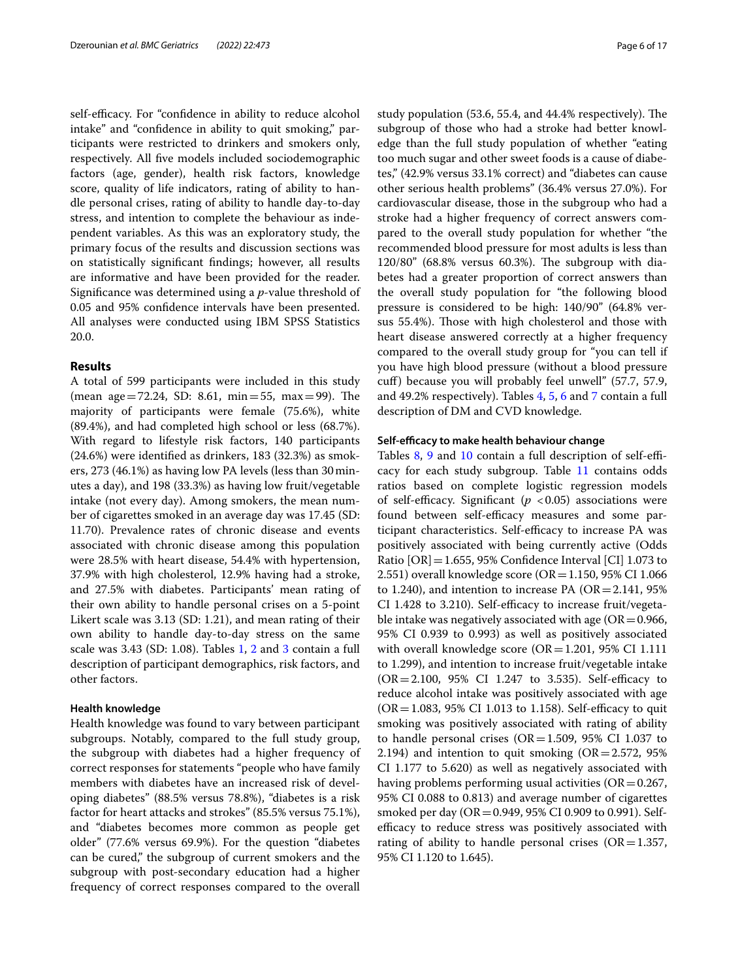self-efficacy. For "confidence in ability to reduce alcohol intake" and "confdence in ability to quit smoking," participants were restricted to drinkers and smokers only, respectively. All fve models included sociodemographic factors (age, gender), health risk factors, knowledge score, quality of life indicators, rating of ability to handle personal crises, rating of ability to handle day-to-day stress, and intention to complete the behaviour as independent variables. As this was an exploratory study, the primary focus of the results and discussion sections was on statistically signifcant fndings; however, all results are informative and have been provided for the reader. Signifcance was determined using a *p*-value threshold of 0.05 and 95% confdence intervals have been presented. All analyses were conducted using IBM SPSS Statistics 20.0.

## **Results**

A total of 599 participants were included in this study (mean age = 72.24, SD: 8.61, min = 55, max = 99). The majority of participants were female (75.6%), white (89.4%), and had completed high school or less (68.7%). With regard to lifestyle risk factors, 140 participants (24.6%) were identifed as drinkers, 183 (32.3%) as smokers, 273 (46.1%) as having low PA levels (less than 30minutes a day), and 198 (33.3%) as having low fruit/vegetable intake (not every day). Among smokers, the mean number of cigarettes smoked in an average day was 17.45 (SD: 11.70). Prevalence rates of chronic disease and events associated with chronic disease among this population were 28.5% with heart disease, 54.4% with hypertension, 37.9% with high cholesterol, 12.9% having had a stroke, and 27.5% with diabetes. Participants' mean rating of their own ability to handle personal crises on a 5-point Likert scale was 3.13 (SD: 1.21), and mean rating of their own ability to handle day-to-day stress on the same scale was 3.43 (SD: 1.08). Tables [1](#page-2-0), [2](#page-3-0) and [3](#page-4-0) contain a full description of participant demographics, risk factors, and other factors.

#### **Health knowledge**

Health knowledge was found to vary between participant subgroups. Notably, compared to the full study group, the subgroup with diabetes had a higher frequency of correct responses for statements "people who have family members with diabetes have an increased risk of developing diabetes" (88.5% versus 78.8%), "diabetes is a risk factor for heart attacks and strokes" (85.5% versus 75.1%), and "diabetes becomes more common as people get older" (77.6% versus 69.9%). For the question "diabetes can be cured," the subgroup of current smokers and the subgroup with post-secondary education had a higher frequency of correct responses compared to the overall study population (53.6, 55.4, and 44.4% respectively). The subgroup of those who had a stroke had better knowledge than the full study population of whether "eating too much sugar and other sweet foods is a cause of diabetes," (42.9% versus 33.1% correct) and "diabetes can cause other serious health problems" (36.4% versus 27.0%). For cardiovascular disease, those in the subgroup who had a stroke had a higher frequency of correct answers compared to the overall study population for whether "the recommended blood pressure for most adults is less than 120/80" (68.8% versus 60.3%). The subgroup with diabetes had a greater proportion of correct answers than the overall study population for "the following blood pressure is considered to be high: 140/90" (64.8% versus 55.4%). Those with high cholesterol and those with heart disease answered correctly at a higher frequency compared to the overall study group for "you can tell if you have high blood pressure (without a blood pressure cuf) because you will probably feel unwell" (57.7, 57.9, and 49.2% respectively). Tables [4](#page-6-0), [5,](#page-7-0) [6](#page-8-0) and [7](#page-10-0) contain a full description of DM and CVD knowledge.

### **Self‑efcacy to make health behaviour change**

Tables [8](#page-11-0), [9](#page-12-0) and [10](#page-13-0) contain a full description of self-efficacy for each study subgroup. Table [11](#page-14-0) contains odds ratios based on complete logistic regression models of self-efficacy. Significant  $(p \lt 0.05)$  associations were found between self-efficacy measures and some participant characteristics. Self-efficacy to increase PA was positively associated with being currently active (Odds Ratio  $[OR] = 1.655$ , 95% Confidence Interval  $[CI]$  1.073 to 2.551) overall knowledge score (OR = 1.150, 95% CI 1.066 to 1.240), and intention to increase PA ( $OR = 2.141$ , 95% CI 1.428 to 3.210). Self-efficacy to increase fruit/vegetable intake was negatively associated with age ( $OR = 0.966$ , 95% CI 0.939 to 0.993) as well as positively associated with overall knowledge score ( $OR = 1.201$ , 95% CI 1.111 to 1.299), and intention to increase fruit/vegetable intake  $(OR = 2.100, 95\% \text{ CI } 1.247 \text{ to } 3.535)$ . Self-efficacy to reduce alcohol intake was positively associated with age  $(OR = 1.083, 95\% \text{ CI } 1.013 \text{ to } 1.158)$ . Self-efficacy to quit smoking was positively associated with rating of ability to handle personal crises ( $OR = 1.509$ , 95% CI 1.037 to 2.194) and intention to quit smoking ( $OR = 2.572$ , 95% CI 1.177 to 5.620) as well as negatively associated with having problems performing usual activities ( $OR = 0.267$ , 95% CI 0.088 to 0.813) and average number of cigarettes smoked per day (OR=0.949, 95% CI 0.909 to 0.991). Selfefficacy to reduce stress was positively associated with rating of ability to handle personal crises ( $OR = 1.357$ , 95% CI 1.120 to 1.645).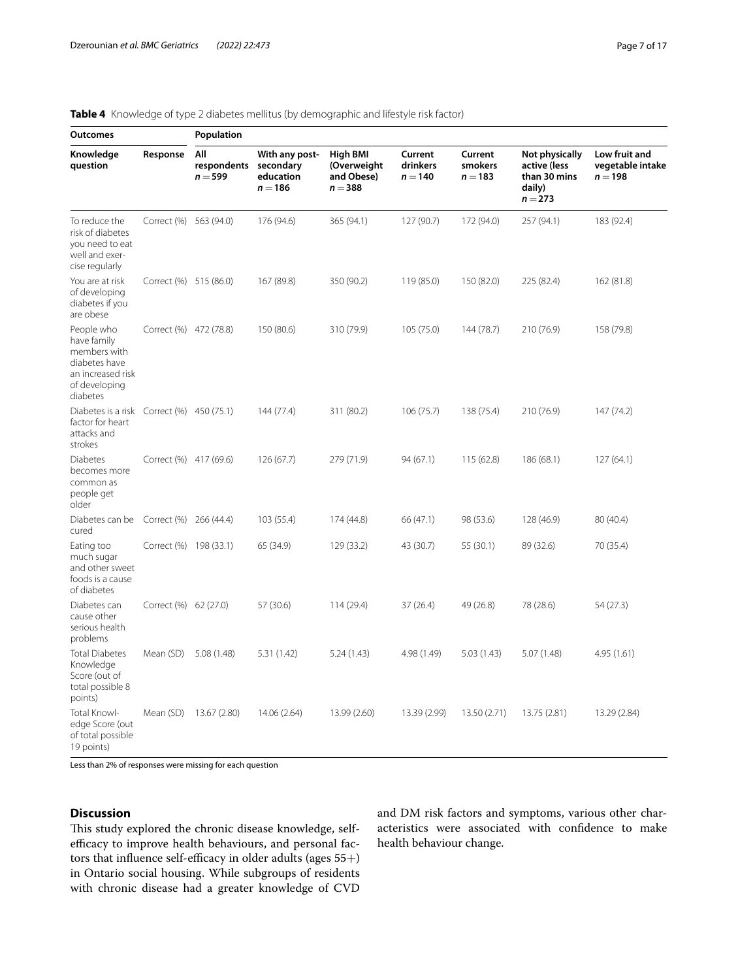| <b>Outcomes</b>                                                                                              |                        | Population                      |                                                       |                                                           |                                  |                                 |                                                                       |                                                |
|--------------------------------------------------------------------------------------------------------------|------------------------|---------------------------------|-------------------------------------------------------|-----------------------------------------------------------|----------------------------------|---------------------------------|-----------------------------------------------------------------------|------------------------------------------------|
| Knowledge<br>question                                                                                        | Response               | All<br>respondents<br>$n = 599$ | With any post-<br>secondary<br>education<br>$n = 186$ | <b>High BMI</b><br>(Overweight<br>and Obese)<br>$n = 388$ | Current<br>drinkers<br>$n = 140$ | Current<br>smokers<br>$n = 183$ | Not physically<br>active (less<br>than 30 mins<br>daily)<br>$n = 273$ | Low fruit and<br>vegetable intake<br>$n = 198$ |
| To reduce the<br>risk of diabetes<br>you need to eat<br>well and exer-<br>cise regularly                     | Correct (%) 563 (94.0) |                                 | 176 (94.6)                                            | 365 (94.1)                                                | 127 (90.7)                       | 172 (94.0)                      | 257 (94.1)                                                            | 183 (92.4)                                     |
| You are at risk<br>of developing<br>diabetes if you<br>are obese                                             | Correct (%) 515 (86.0) |                                 | 167 (89.8)                                            | 350 (90.2)                                                | 119 (85.0)                       | 150 (82.0)                      | 225 (82.4)                                                            | 162 (81.8)                                     |
| People who<br>have family<br>members with<br>diabetes have<br>an increased risk<br>of developing<br>diabetes | Correct (%) 472 (78.8) |                                 | 150 (80.6)                                            | 310 (79.9)                                                | 105 (75.0)                       | 144 (78.7)                      | 210 (76.9)                                                            | 158 (79.8)                                     |
| Diabetes is a risk Correct (%) 450 (75.1)<br>factor for heart<br>attacks and<br>strokes                      |                        |                                 | 144 (77.4)                                            | 311 (80.2)                                                | 106(75.7)                        | 138 (75.4)                      | 210 (76.9)                                                            | 147 (74.2)                                     |
| <b>Diabetes</b><br>becomes more<br>common as<br>people get<br>older                                          | Correct (%) 417 (69.6) |                                 | 126(67.7)                                             | 279 (71.9)                                                | 94 (67.1)                        | 115(62.8)                       | 186 (68.1)                                                            | 127(64.1)                                      |
| Diabetes can be Correct (%) 266 (44.4)<br>cured                                                              |                        |                                 | 103 (55.4)                                            | 174 (44.8)                                                | 66 (47.1)                        | 98 (53.6)                       | 128 (46.9)                                                            | 80 (40.4)                                      |
| Eating too<br>much sugar<br>and other sweet<br>foods is a cause<br>of diabetes                               | Correct (%) 198 (33.1) |                                 | 65 (34.9)                                             | 129 (33.2)                                                | 43 (30.7)                        | 55 (30.1)                       | 89 (32.6)                                                             | 70 (35.4)                                      |
| Diabetes can<br>cause other<br>serious health<br>problems                                                    | Correct (%) 62 (27.0)  |                                 | 57 (30.6)                                             | 114(29.4)                                                 | 37 (26.4)                        | 49 (26.8)                       | 78 (28.6)                                                             | 54 (27.3)                                      |
| <b>Total Diabetes</b><br>Knowledge<br>Score (out of<br>total possible 8<br>points)                           | Mean (SD)              | 5.08 (1.48)                     | 5.31 (1.42)                                           | 5.24(1.43)                                                | 4.98 (1.49)                      | 5.03(1.43)                      | 5.07 (1.48)                                                           | 4.95(1.61)                                     |
| Total Knowl-<br>edge Score (out<br>of total possible<br>19 points)                                           | Mean (SD)              | 13.67 (2.80)                    | 14.06 (2.64)                                          | 13.99 (2.60)                                              | 13.39 (2.99)                     | 13.50 (2.71)                    | 13.75 (2.81)                                                          | 13.29 (2.84)                                   |

# <span id="page-6-0"></span>**Table 4** Knowledge of type 2 diabetes mellitus (by demographic and lifestyle risk factor)

Less than 2% of responses were missing for each question

# **Discussion**

This study explored the chronic disease knowledge, selfefficacy to improve health behaviours, and personal factors that influence self-efficacy in older adults (ages  $55+$ ) in Ontario social housing. While subgroups of residents with chronic disease had a greater knowledge of CVD

and DM risk factors and symptoms, various other characteristics were associated with confdence to make health behaviour change.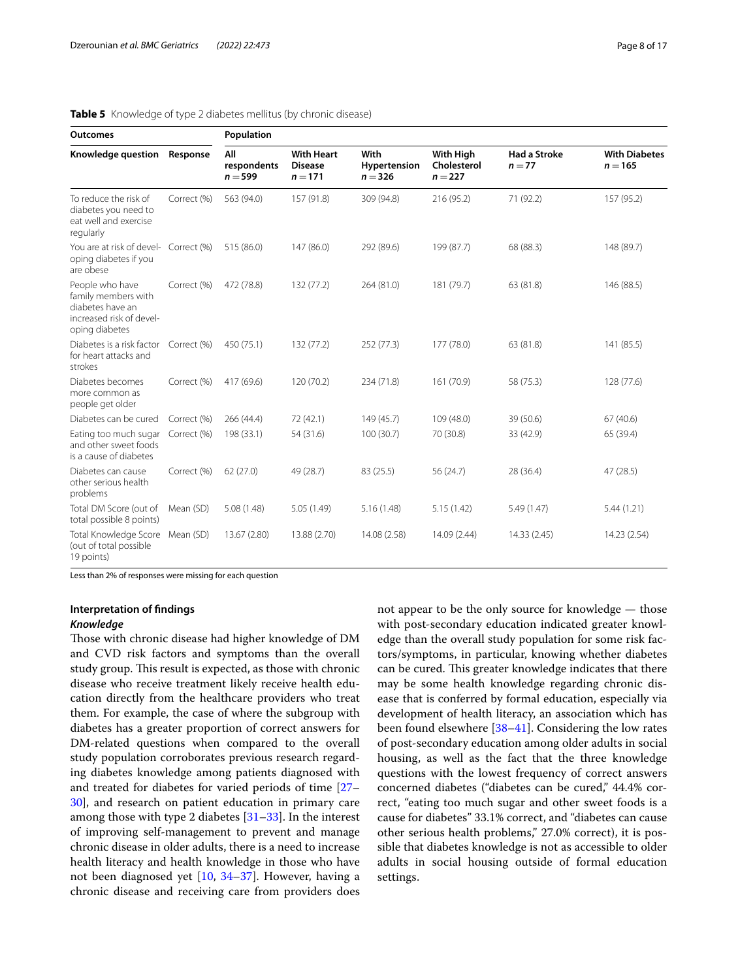| <b>Outcomes</b>                                                                                          |             | Population                      |                                                  |                                   |                                       |                                 |                                   |
|----------------------------------------------------------------------------------------------------------|-------------|---------------------------------|--------------------------------------------------|-----------------------------------|---------------------------------------|---------------------------------|-----------------------------------|
| Knowledge question Response                                                                              |             | All<br>respondents<br>$n = 599$ | <b>With Heart</b><br><b>Disease</b><br>$n = 171$ | With<br>Hypertension<br>$n = 326$ | With High<br>Cholesterol<br>$n = 227$ | <b>Had a Stroke</b><br>$n = 77$ | <b>With Diabetes</b><br>$n = 165$ |
| To reduce the risk of<br>diabetes you need to<br>eat well and exercise<br>regularly                      | Correct (%) | 563 (94.0)                      | 157 (91.8)                                       | 309 (94.8)                        | 216 (95.2)                            | 71 (92.2)                       | 157 (95.2)                        |
| You are at risk of devel-<br>oping diabetes if you<br>are obese                                          | Correct (%) | 515 (86.0)                      | 147 (86.0)                                       | 292 (89.6)                        | 199 (87.7)                            | 68 (88.3)                       | 148 (89.7)                        |
| People who have<br>family members with<br>diabetes have an<br>increased risk of devel-<br>oping diabetes | Correct (%) | 472 (78.8)                      | 132 (77.2)                                       | 264 (81.0)                        | 181 (79.7)                            | 63 (81.8)                       | 146 (88.5)                        |
| Diabetes is a risk factor<br>for heart attacks and<br>strokes                                            | Correct (%) | 450 (75.1)                      | 132 (77.2)                                       | 252(77.3)                         | 177 (78.0)                            | 63 (81.8)                       | 141 (85.5)                        |
| Diabetes becomes<br>more common as<br>people get older                                                   | Correct (%) | 417 (69.6)                      | 120 (70.2)                                       | 234 (71.8)                        | 161 (70.9)                            | 58 (75.3)                       | 128 (77.6)                        |
| Diabetes can be cured                                                                                    | Correct (%) | 266 (44.4)                      | 72 (42.1)                                        | 149 (45.7)                        | 109 (48.0)                            | 39 (50.6)                       | 67(40.6)                          |
| Eating too much sugar<br>and other sweet foods<br>is a cause of diabetes                                 | Correct (%) | 198 (33.1)                      | 54 (31.6)                                        | 100(30.7)                         | 70 (30.8)                             | 33 (42.9)                       | 65 (39.4)                         |
| Diabetes can cause<br>other serious health<br>problems                                                   | Correct (%) | 62(27.0)                        | 49 (28.7)                                        | 83 (25.5)                         | 56 (24.7)                             | 28 (36.4)                       | 47 (28.5)                         |
| Total DM Score (out of<br>total possible 8 points)                                                       | Mean (SD)   | 5.08(1.48)                      | 5.05 (1.49)                                      | 5.16(1.48)                        | 5.15(1.42)                            | 5.49 (1.47)                     | 5.44(1.21)                        |
| Total Knowledge Score<br>(out of total possible<br>19 points)                                            | Mean (SD)   | 13.67 (2.80)                    | 13.88 (2.70)                                     | 14.08 (2.58)                      | 14.09 (2.44)                          | 14.33 (2.45)                    | 14.23 (2.54)                      |

#### <span id="page-7-0"></span>**Table 5** Knowledge of type 2 diabetes mellitus (by chronic disease)

Less than 2% of responses were missing for each question

## **Interpretation of fndings** *Knowledge*

Those with chronic disease had higher knowledge of DM and CVD risk factors and symptoms than the overall study group. This result is expected, as those with chronic disease who receive treatment likely receive health education directly from the healthcare providers who treat them. For example, the case of where the subgroup with diabetes has a greater proportion of correct answers for DM-related questions when compared to the overall study population corroborates previous research regarding diabetes knowledge among patients diagnosed with and treated for diabetes for varied periods of time [[27–](#page-16-7) [30\]](#page-16-8), and research on patient education in primary care among those with type 2 diabetes [\[31](#page-16-9)[–33\]](#page-16-10). In the interest of improving self-management to prevent and manage chronic disease in older adults, there is a need to increase health literacy and health knowledge in those who have not been diagnosed yet [\[10](#page-15-9), [34](#page-16-11)–[37\]](#page-16-12). However, having a chronic disease and receiving care from providers does not appear to be the only source for knowledge — those with post-secondary education indicated greater knowledge than the overall study population for some risk factors/symptoms, in particular, knowing whether diabetes can be cured. This greater knowledge indicates that there may be some health knowledge regarding chronic disease that is conferred by formal education, especially via development of health literacy, an association which has been found elsewhere [[38–](#page-16-13)[41](#page-16-14)]. Considering the low rates of post-secondary education among older adults in social housing, as well as the fact that the three knowledge questions with the lowest frequency of correct answers concerned diabetes ("diabetes can be cured," 44.4% correct, "eating too much sugar and other sweet foods is a cause for diabetes" 33.1% correct, and "diabetes can cause other serious health problems," 27.0% correct), it is possible that diabetes knowledge is not as accessible to older adults in social housing outside of formal education settings.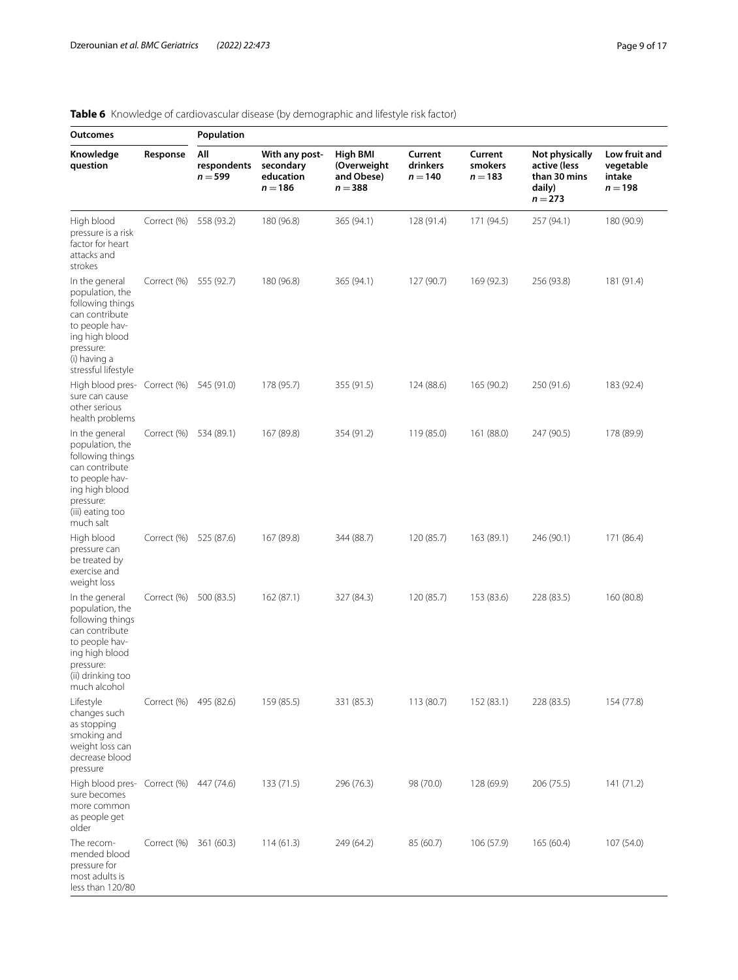#### **Outcomes Population Knowledge question Response All respondents**   $n = 599$ **With any postsecondary education**  $n = 186$ **High BMI (Overweight and Obese)** *n* =**388 Current drinkers** *n* =**140 Current smokers** *n* =**183 Not physically active (less than 30 mins daily)**  $n = 273$ **Low fruit and vegetable intake** *n* =**198** High blood pressure is a risk factor for heart attacks and strokes Correct (%) 558 (93.2) 180 (96.8) 365 (94.1) 128 (91.4) 171 (94.5) 257 (94.1) 180 (90.9) In the general population, the following things can contribute to people having high blood pressure: (i) having a stressful lifestyle Correct (%) 555 (92.7) 180 (96.8) 365 (94.1) 127 (90.7) 169 (92.3) 256 (93.8) 181 (91.4) High blood pres-Correct (%) 545 (91.0) 178 (95.7) 355 (91.5) 124 (88.6) 165 (90.2) 250 (91.6) 183 (92.4) sure can cause other serious health problems In the general population, the following things can contribute to people having high blood pressure: (iii) eating too much salt Correct (%) 534 (89.1) 167 (89.8) 354 (91.2) 119 (85.0) 161 (88.0) 247 (90.5) 178 (89.9) High blood pressure can be treated by exercise and weight loss Correct (%) 525 (87.6) 167 (89.8) 344 (88.7) 120 (85.7) 163 (89.1) 246 (90.1) 171 (86.4) In the general population, the following things can contribute to people having high blood pressure: (ii) drinking too much alcohol Correct (%) 500 (83.5) 162 (87.1) 327 (84.3) 120 (85.7) 153 (83.6) 228 (83.5) 160 (80.8) Lifestyle changes such as stopping smoking and weight loss can decrease blood pressure Correct (%) 495 (82.6) 159 (85.5) 331 (85.3) 113 (80.7) 152 (83.1) 228 (83.5) 154 (77.8) High blood pres-Correct (%) 447 (74.6) 133 (71.5) 296 (76.3) 98 (70.0) 128 (69.9) 206 (75.5) 141 (71.2) sure becomes more common as people get older The recommended blood pressure for most adults is less than 120/80 Correct (%) 361 (60.3) 114 (61.3) 249 (64.2) 85 (60.7) 106 (57.9) 165 (60.4) 107 (54.0)

# <span id="page-8-0"></span>**Table 6** Knowledge of cardiovascular disease (by demographic and lifestyle risk factor)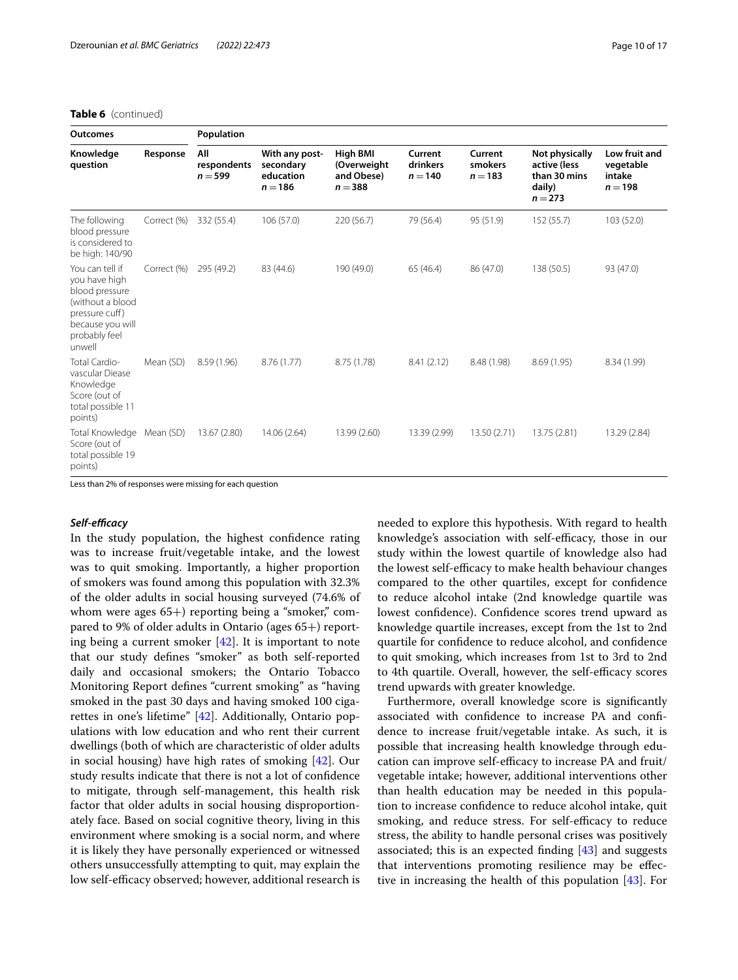#### **Table 6** (continued)

| <b>Outcomes</b>                                                                                                                         |             | Population                      |                                                       |                                                           |                                  |                                 |                                                                       |                                                   |
|-----------------------------------------------------------------------------------------------------------------------------------------|-------------|---------------------------------|-------------------------------------------------------|-----------------------------------------------------------|----------------------------------|---------------------------------|-----------------------------------------------------------------------|---------------------------------------------------|
| Knowledge<br>question                                                                                                                   | Response    | All<br>respondents<br>$n = 599$ | With any post-<br>secondary<br>education<br>$n = 186$ | <b>High BMI</b><br>(Overweight<br>and Obese)<br>$n = 388$ | Current<br>drinkers<br>$n = 140$ | Current<br>smokers<br>$n = 183$ | Not physically<br>active (less<br>than 30 mins<br>daily)<br>$n = 273$ | Low fruit and<br>vegetable<br>intake<br>$n = 198$ |
| The following<br>blood pressure<br>is considered to<br>be high: 140/90                                                                  | Correct (%) | 332 (55.4)                      | 106 (57.0)                                            | 220 (56.7)                                                | 79 (56.4)                        | 95 (51.9)                       | 152 (55.7)                                                            | 103 (52.0)                                        |
| You can tell if<br>you have high<br>blood pressure<br>(without a blood<br>pressure cuff)<br>because you will<br>probably feel<br>unwell | Correct (%) | 295 (49.2)                      | 83 (44.6)                                             | 190 (49.0)                                                | 65 (46.4)                        | 86 (47.0)                       | 138 (50.5)                                                            | 93 (47.0)                                         |
| Total Cardio-<br>vascular Diease<br>Knowledge<br>Score (out of<br>total possible 11<br>points)                                          | Mean (SD)   | 8.59 (1.96)                     | 8.76(1.77)                                            | 8.75 (1.78)                                               | 8.41(2.12)                       | 8.48 (1.98)                     | 8.69 (1.95)                                                           | 8.34 (1.99)                                       |
| Total Knowledge<br>Score (out of<br>total possible 19<br>points)                                                                        | Mean (SD)   | 13.67 (2.80)                    | 14.06 (2.64)                                          | 13.99 (2.60)                                              | 13.39 (2.99)                     | 13.50 (2.71)                    | 13.75 (2.81)                                                          | 13.29 (2.84)                                      |

Less than 2% of responses were missing for each question

### *Self‑efcacy*

In the study population, the highest confdence rating was to increase fruit/vegetable intake, and the lowest was to quit smoking. Importantly, a higher proportion of smokers was found among this population with 32.3% of the older adults in social housing surveyed (74.6% of whom were ages  $65+$ ) reporting being a "smoker," compared to 9% of older adults in Ontario (ages 65+) reporting being a current smoker  $[42]$  $[42]$ . It is important to note that our study defnes "smoker" as both self-reported daily and occasional smokers; the Ontario Tobacco Monitoring Report defnes "current smoking" as "having smoked in the past 30 days and having smoked 100 cigarettes in one's lifetime" [\[42](#page-16-15)]. Additionally, Ontario populations with low education and who rent their current dwellings (both of which are characteristic of older adults in social housing) have high rates of smoking [[42\]](#page-16-15). Our study results indicate that there is not a lot of confdence to mitigate, through self-management, this health risk factor that older adults in social housing disproportionately face. Based on social cognitive theory, living in this environment where smoking is a social norm, and where it is likely they have personally experienced or witnessed others unsuccessfully attempting to quit, may explain the low self-efficacy observed; however, additional research is needed to explore this hypothesis. With regard to health knowledge's association with self-efficacy, those in our study within the lowest quartile of knowledge also had the lowest self-efficacy to make health behaviour changes compared to the other quartiles, except for confdence to reduce alcohol intake (2nd knowledge quartile was lowest confidence). Confidence scores trend upward as knowledge quartile increases, except from the 1st to 2nd quartile for confdence to reduce alcohol, and confdence to quit smoking, which increases from 1st to 3rd to 2nd to 4th quartile. Overall, however, the self-efficacy scores trend upwards with greater knowledge.

Furthermore, overall knowledge score is signifcantly associated with confdence to increase PA and confdence to increase fruit/vegetable intake. As such, it is possible that increasing health knowledge through education can improve self-efficacy to increase PA and fruit/ vegetable intake; however, additional interventions other than health education may be needed in this population to increase confdence to reduce alcohol intake, quit smoking, and reduce stress. For self-efficacy to reduce stress, the ability to handle personal crises was positively associated; this is an expected fnding [[43](#page-16-16)] and suggests that interventions promoting resilience may be efective in increasing the health of this population [\[43](#page-16-16)]. For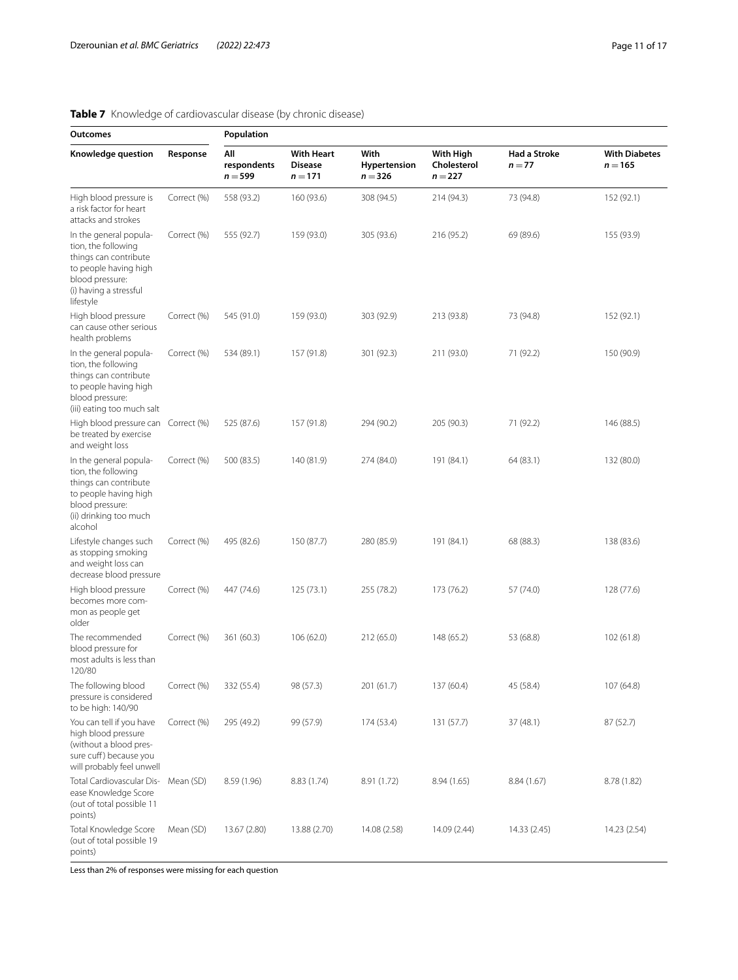| <b>Outcomes</b>                                                                                                                                           |             | Population                      |                                                  |                                   |                                       |                          |                                   |
|-----------------------------------------------------------------------------------------------------------------------------------------------------------|-------------|---------------------------------|--------------------------------------------------|-----------------------------------|---------------------------------------|--------------------------|-----------------------------------|
| Knowledge question                                                                                                                                        | Response    | All<br>respondents<br>$n = 599$ | <b>With Heart</b><br><b>Disease</b><br>$n = 171$ | With<br>Hypertension<br>$n = 326$ | With High<br>Cholesterol<br>$n = 227$ | Had a Stroke<br>$n = 77$ | <b>With Diabetes</b><br>$n = 165$ |
| High blood pressure is<br>a risk factor for heart<br>attacks and strokes                                                                                  | Correct (%) | 558 (93.2)                      | 160 (93.6)                                       | 308 (94.5)                        | 214 (94.3)                            | 73 (94.8)                | 152 (92.1)                        |
| In the general popula-<br>tion, the following<br>things can contribute<br>to people having high<br>blood pressure:<br>(i) having a stressful<br>lifestyle | Correct (%) | 555 (92.7)                      | 159 (93.0)                                       | 305 (93.6)                        | 216 (95.2)                            | 69 (89.6)                | 155 (93.9)                        |
| High blood pressure<br>can cause other serious<br>health problems                                                                                         | Correct (%) | 545 (91.0)                      | 159 (93.0)                                       | 303 (92.9)                        | 213 (93.8)                            | 73 (94.8)                | 152 (92.1)                        |
| In the general popula-<br>tion, the following<br>things can contribute<br>to people having high<br>blood pressure:<br>(iii) eating too much salt          | Correct (%) | 534 (89.1)                      | 157 (91.8)                                       | 301 (92.3)                        | 211 (93.0)                            | 71 (92.2)                | 150 (90.9)                        |
| High blood pressure can Correct (%)<br>be treated by exercise<br>and weight loss                                                                          |             | 525 (87.6)                      | 157 (91.8)                                       | 294 (90.2)                        | 205 (90.3)                            | 71 (92.2)                | 146 (88.5)                        |
| In the general popula-<br>tion, the following<br>things can contribute<br>to people having high<br>blood pressure:<br>(ii) drinking too much<br>alcohol   | Correct (%) | 500 (83.5)                      | 140 (81.9)                                       | 274 (84.0)                        | 191 (84.1)                            | 64 (83.1)                | 132 (80.0)                        |
| Lifestyle changes such<br>as stopping smoking<br>and weight loss can<br>decrease blood pressure                                                           | Correct (%) | 495 (82.6)                      | 150 (87.7)                                       | 280 (85.9)                        | 191 (84.1)                            | 68 (88.3)                | 138 (83.6)                        |
| High blood pressure<br>becomes more com-<br>mon as people get<br>older                                                                                    | Correct (%) | 447 (74.6)                      | 125(73.1)                                        | 255 (78.2)                        | 173 (76.2)                            | 57 (74.0)                | 128 (77.6)                        |
| The recommended<br>blood pressure for<br>most adults is less than<br>120/80                                                                               | Correct (%) | 361 (60.3)                      | 106 (62.0)                                       | 212 (65.0)                        | 148 (65.2)                            | 53 (68.8)                | 102 (61.8)                        |
| The following blood<br>pressure is considered<br>to be high: 140/90                                                                                       | Correct (%) | 332 (55.4)                      | 98 (57.3)                                        | 201 (61.7)                        | 137 (60.4)                            | 45 (58.4)                | 107 (64.8)                        |
| You can tell if you have<br>high blood pressure<br>(without a blood pres-<br>sure cuff) because you<br>will probably feel unwell                          | Correct (%) | 295 (49.2)                      | 99 (57.9)                                        | 174 (53.4)                        | 131 (57.7)                            | 37 (48.1)                | 87 (52.7)                         |
| Total Cardiovascular Dis- Mean (SD)<br>ease Knowledge Score<br>(out of total possible 11<br>points)                                                       |             | 8.59 (1.96)                     | 8.83 (1.74)                                      | 8.91 (1.72)                       | 8.94 (1.65)                           | 8.84(1.67)               | 8.78 (1.82)                       |
| Total Knowledge Score<br>(out of total possible 19<br>points)                                                                                             | Mean (SD)   | 13.67 (2.80)                    | 13.88 (2.70)                                     | 14.08 (2.58)                      | 14.09 (2.44)                          | 14.33 (2.45)             | 14.23 (2.54)                      |

# <span id="page-10-0"></span>**Table 7** Knowledge of cardiovascular disease (by chronic disease)

Less than 2% of responses were missing for each question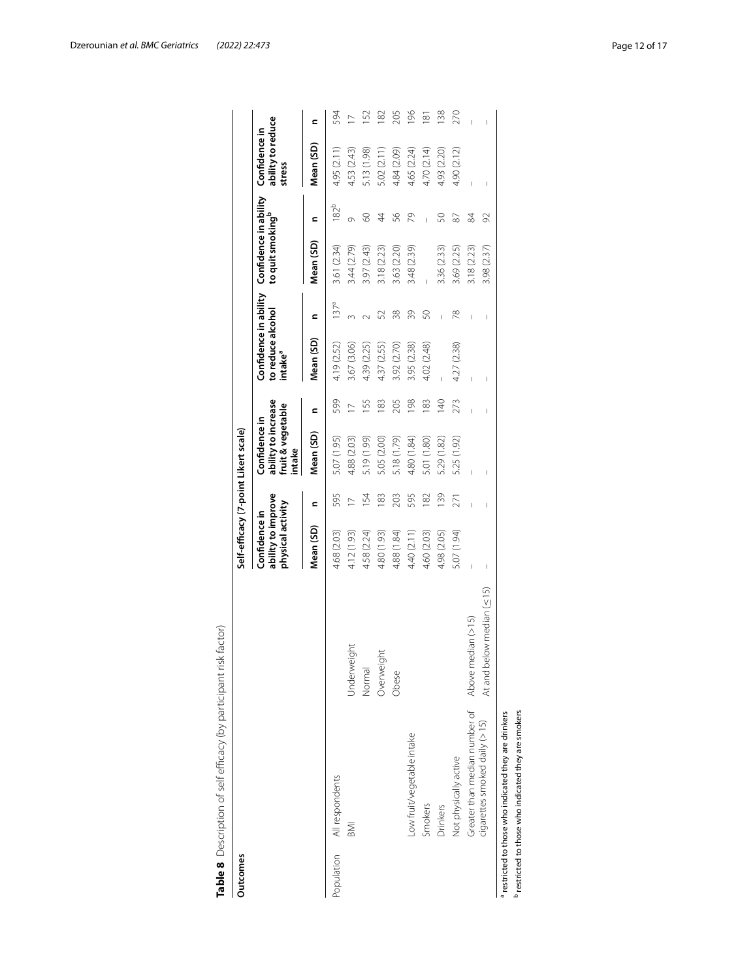| Outcomes   |                                                                                                           |                              |                                                          |        | Self-efficacy (7-point Likert scale)                                |                |                                                                   |         |                                                       |            |                                              |          |
|------------|-----------------------------------------------------------------------------------------------------------|------------------------------|----------------------------------------------------------|--------|---------------------------------------------------------------------|----------------|-------------------------------------------------------------------|---------|-------------------------------------------------------|------------|----------------------------------------------|----------|
|            |                                                                                                           |                              | ability to improve<br>physical activity<br>Confidence in |        | ability to increase<br>fruit & vegetable<br>Confidence in<br>intake |                | Confidence in ability<br>to reduce alcohol<br>intake <sup>a</sup> |         | Confidence in ability<br>to quit smoking <sup>p</sup> |            | ability to reduce<br>Confidence in<br>stress |          |
|            |                                                                                                           |                              | Mean (SD)                                                | c      | Mean (SD)                                                           | ⊆              | Mean (SD)                                                         | ⊆       | Mean (SD)                                             | c          | Mean (SD)                                    | c        |
| Population | All respondents                                                                                           |                              | 4.68 (2.03)                                              | 595    | 5.07 (1.95)                                                         | 599            | 4.19 (2.52)                                                       | $137^a$ | 3.61 (2.34)                                           | 182b       | 4.95 (2.11)                                  | 594      |
|            | BMI                                                                                                       | veight<br>Underv             | 4.12 (1.93)                                              | $\geq$ | 4.88 (2.03)                                                         |                | 3.67 (3.06)                                                       |         | 3.44 (2.79)                                           | Ó          | 4.53 (2.43)                                  | $\geq$   |
|            |                                                                                                           | Normal                       | 4.58 (2.24)                                              | 154    | 5.19 (1.99)                                                         | 155            | 4.39 (2.25)                                                       |         | 3.97 (2.43)                                           | 8          | 5.13 (1.98)                                  | 152      |
|            |                                                                                                           | aight<br>Overwe              | 4.80 (1.93)                                              | 183    | 5.05 (2.00)                                                         | 183            | 4.37 (2.55)                                                       | 52      | 3.18 (2.23)                                           | $\ddot{4}$ | 5.02 (2.11)                                  | 182      |
|            |                                                                                                           | Obese                        | 4.88 (1.84)                                              | 203    | 5.18 (1.79)                                                         | 205            | 3.92 (2.70)                                                       | 38      | 3.63 (2.20)                                           | SG         | 4.84 (2.09)                                  | 205      |
|            | Low fruit/vegetable intake                                                                                |                              | 4.40 (2.11)                                              | 595    | 4.80 (1.84)                                                         | 198            | 3.95 (2.38)                                                       | 39      | 3.48 (2.39)                                           | 56         | 4.65 (2.24)                                  | $^{196}$ |
|            | Smokers                                                                                                   |                              | 4.60 (2.03)                                              | 182    | 5.01 (1.80)                                                         | 183            | 4.02 (2.48)                                                       | 8       |                                                       | Ï          | 4.70 (2.14)                                  | 181      |
|            | Drinkers                                                                                                  |                              | 4.98 (2.05)                                              | 139    | 5.29 (1.82)                                                         | $\frac{40}{5}$ |                                                                   |         | 3.36 (2.33)                                           | SO         | 4.93 (2.20)                                  | 138      |
|            | Not physically active                                                                                     |                              | 5.07 (1.94)                                              | 271    | 5.25 (1.92)                                                         | 273            | 4.27 (2.38)                                                       | 78      | 3.69 (2.25)                                           | 87         | 4.90 (2.12)                                  | 270      |
|            | Greater than median number of                                                                             | Above median (>15)           |                                                          |        |                                                                     |                | Ī                                                                 |         | 3.18 (2.23)                                           | 84         |                                              |          |
|            | cigarettes smoked daily (> 15)                                                                            | below median (<15)<br>At and | I                                                        | Ï      | I                                                                   |                | I                                                                 | I       | 3.98 (2.37)                                           | 92         | I                                            |          |
|            | restricted to those who indicated they are smokers<br>restricted to those who indicated they are drinkers |                              |                                                          |        |                                                                     |                |                                                                   |         |                                                       |            |                                              |          |
|            |                                                                                                           |                              |                                                          |        |                                                                     |                |                                                                   |         |                                                       |            |                                              |          |

<span id="page-11-0"></span>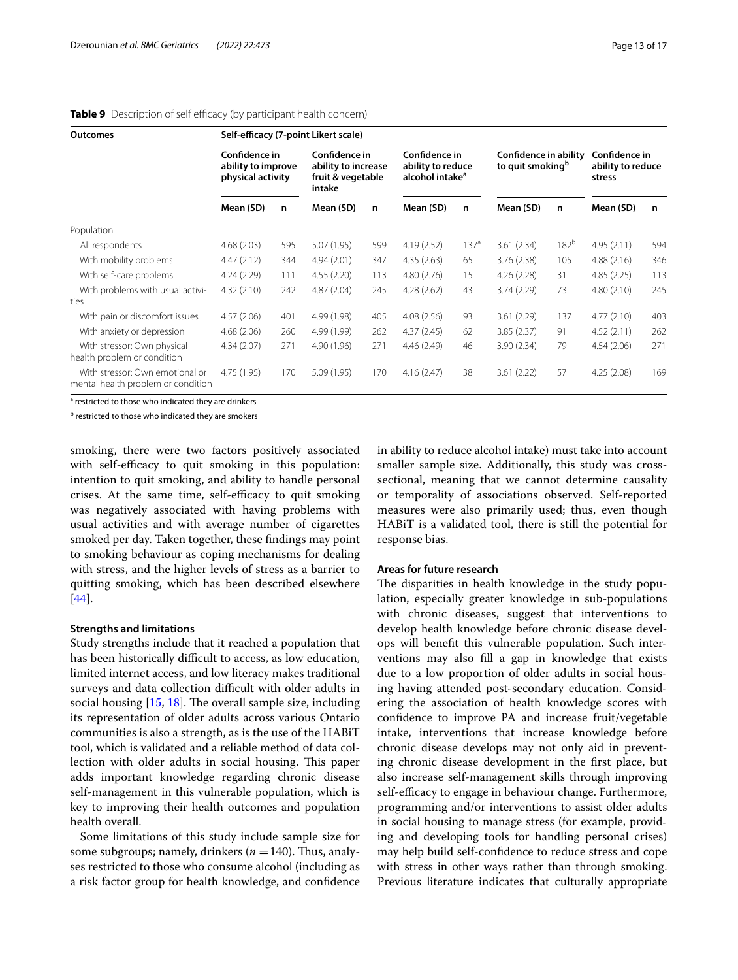| <b>Outcomes</b>                                                       |                                                          |     | Self-efficacy (7-point Likert scale)                                |     |                                                                   |                  |                                                       |                  |                                              |     |
|-----------------------------------------------------------------------|----------------------------------------------------------|-----|---------------------------------------------------------------------|-----|-------------------------------------------------------------------|------------------|-------------------------------------------------------|------------------|----------------------------------------------|-----|
|                                                                       | Confidence in<br>ability to improve<br>physical activity |     | Confidence in<br>ability to increase<br>fruit & vegetable<br>intake |     | Confidence in<br>ability to reduce<br>alcohol intake <sup>a</sup> |                  | Confidence in ability<br>to quit smoking <sup>b</sup> |                  | Confidence in<br>ability to reduce<br>stress |     |
|                                                                       | Mean (SD)                                                | n   | Mean (SD)                                                           | n   | Mean (SD)                                                         | n                | Mean (SD)                                             | n                | Mean (SD)                                    | n   |
| Population                                                            |                                                          |     |                                                                     |     |                                                                   |                  |                                                       |                  |                                              |     |
| All respondents                                                       | 4.68(2.03)                                               | 595 | 5.07(1.95)                                                          | 599 | 4.19(2.52)                                                        | 137 <sup>a</sup> | 3.61(2.34)                                            | 182 <sup>b</sup> | 4.95(2.11)                                   | 594 |
| With mobility problems                                                | 4.47(2.12)                                               | 344 | 4.94(2.01)                                                          | 347 | 4.35(2.63)                                                        | 65               | 3.76(2.38)                                            | 105              | 4.88(2.16)                                   | 346 |
| With self-care problems                                               | 4.24(2.29)                                               | 111 | 4.55(2.20)                                                          | 113 | 4.80(2.76)                                                        | 15               | 4.26(2.28)                                            | 31               | 4.85(2.25)                                   | 113 |
| With problems with usual activi-<br>ties                              | 4.32(2.10)                                               | 242 | 4.87(2.04)                                                          | 245 | 4.28(2.62)                                                        | 43               | 3.74(2.29)                                            | 73               | 4.80(2.10)                                   | 245 |
| With pain or discomfort issues                                        | 4.57(2.06)                                               | 401 | 4.99 (1.98)                                                         | 405 | 4.08(2.56)                                                        | 93               | 3.61(2.29)                                            | 137              | 4.77(2.10)                                   | 403 |
| With anxiety or depression                                            | 4.68(2.06)                                               | 260 | 4.99 (1.99)                                                         | 262 | 4.37(2.45)                                                        | 62               | 3.85(2.37)                                            | 91               | 4.52(2.11)                                   | 262 |
| With stressor: Own physical<br>health problem or condition            | 4.34(2.07)                                               | 271 | 4.90 (1.96)                                                         | 271 | 4.46 (2.49)                                                       | 46               | 3.90(2.34)                                            | 79               | 4.54(2.06)                                   | 271 |
| With stressor: Own emotional or<br>mental health problem or condition | 4.75 (1.95)                                              | 170 | 5.09(1.95)                                                          | 170 | 4.16(2.47)                                                        | 38               | 3.61(2.22)                                            | 57               | 4.25(2.08)                                   | 169 |

## <span id="page-12-0"></span>Table 9 Description of self efficacy (by participant health concern)

<sup>a</sup> restricted to those who indicated they are drinkers

<sup>b</sup> restricted to those who indicated they are smokers

smoking, there were two factors positively associated with self-efficacy to quit smoking in this population: intention to quit smoking, and ability to handle personal crises. At the same time, self-efficacy to quit smoking was negatively associated with having problems with usual activities and with average number of cigarettes smoked per day. Taken together, these fndings may point to smoking behaviour as coping mechanisms for dealing with stress, and the higher levels of stress as a barrier to quitting smoking, which has been described elsewhere [[44\]](#page-16-17).

## **Strengths and limitations**

Study strengths include that it reached a population that has been historically difficult to access, as low education, limited internet access, and low literacy makes traditional surveys and data collection difficult with older adults in social housing  $[15, 18]$  $[15, 18]$  $[15, 18]$  $[15, 18]$ . The overall sample size, including its representation of older adults across various Ontario communities is also a strength, as is the use of the HABiT tool, which is validated and a reliable method of data collection with older adults in social housing. This paper adds important knowledge regarding chronic disease self-management in this vulnerable population, which is key to improving their health outcomes and population health overall.

Some limitations of this study include sample size for some subgroups; namely, drinkers  $(n = 140)$ . Thus, analyses restricted to those who consume alcohol (including as a risk factor group for health knowledge, and confdence in ability to reduce alcohol intake) must take into account smaller sample size. Additionally, this study was crosssectional, meaning that we cannot determine causality or temporality of associations observed. Self-reported measures were also primarily used; thus, even though HABiT is a validated tool, there is still the potential for response bias.

#### **Areas for future research**

The disparities in health knowledge in the study population, especially greater knowledge in sub-populations with chronic diseases, suggest that interventions to develop health knowledge before chronic disease develops will beneft this vulnerable population. Such interventions may also fll a gap in knowledge that exists due to a low proportion of older adults in social housing having attended post-secondary education. Considering the association of health knowledge scores with confdence to improve PA and increase fruit/vegetable intake, interventions that increase knowledge before chronic disease develops may not only aid in preventing chronic disease development in the frst place, but also increase self-management skills through improving self-efficacy to engage in behaviour change. Furthermore, programming and/or interventions to assist older adults in social housing to manage stress (for example, providing and developing tools for handling personal crises) may help build self-confdence to reduce stress and cope with stress in other ways rather than through smoking. Previous literature indicates that culturally appropriate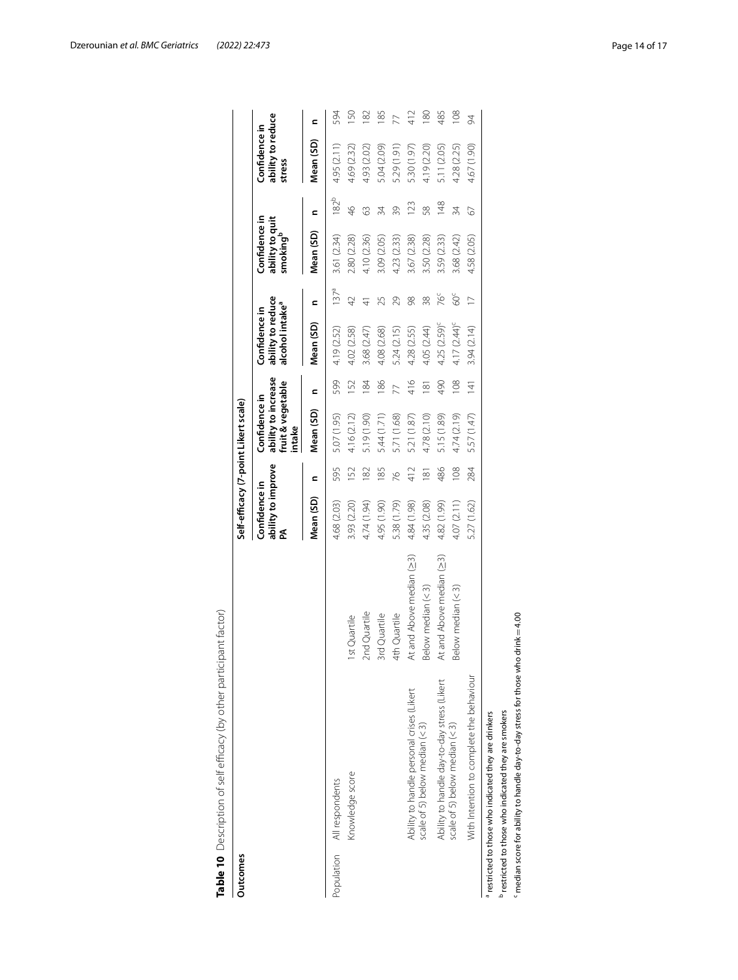| Outcomes   |                                                                                                                                                       |                           |                                     |                     | Self-efficacy (7-point Likert scale)                                |                     |                                                                   |                  |                                                          |                  |                                              |                |
|------------|-------------------------------------------------------------------------------------------------------------------------------------------------------|---------------------------|-------------------------------------|---------------------|---------------------------------------------------------------------|---------------------|-------------------------------------------------------------------|------------------|----------------------------------------------------------|------------------|----------------------------------------------|----------------|
|            |                                                                                                                                                       |                           | ability to improve<br>Confidence in |                     | ability to increase<br>fruit & vegetable<br>Confidence in<br>intake |                     | ability to reduce<br>alcohol intake <sup>a</sup><br>Confidence in |                  | Confidence in<br>ability to quit<br>smoking <sup>b</sup> |                  | ability to reduce<br>Confidence in<br>stress |                |
|            |                                                                                                                                                       |                           | Mean (SD)                           | Ξ                   | Mean (SD)                                                           | c                   | Mean (SD)                                                         | Ξ                | Mean (SD)                                                | Ξ                | Mean (SD)                                    | Ξ              |
| Population | All respondents                                                                                                                                       |                           | 4.68 (2.03)                         | 595                 | 5.07 (1.95)                                                         | 599                 | 4.19 (2.52)                                                       | 137 <sup>a</sup> | 3.61 (2.34)                                              | 182 <sup>b</sup> | 4.95 (2.11)                                  | 594            |
|            | Knowledge score                                                                                                                                       | 1st Quartile              | 3.93 (2.20)                         | 152                 | 4.16 (2.12)                                                         | 152                 | 4.02 (2.58)                                                       | $\varphi$        | 2.80 (2.28)                                              | 46               | 4.69 (2.32)                                  | S              |
|            |                                                                                                                                                       | 2nd Quartile              | 4.74 (1.94)                         | 82                  | 5.19 (1.90)                                                         | 84                  | 3.68 (2.47)                                                       |                  | 4.10 (2.36)                                              | 63               | 4.93 (2.02)                                  | 182            |
|            |                                                                                                                                                       | 3rd Quartile              | 4.95 (1.90)                         | 185                 | 5.44 (1.71)                                                         | 186                 | 4.08 (2.68)                                                       | 25               | 3.09 (2.05)                                              | 34               | 5.04 (2.09)                                  | 185            |
|            |                                                                                                                                                       | 4th Quartile              | 5.38 (1.79)                         | 76                  | 5.71 (1.68)                                                         |                     | 5.24(2.15)                                                        | 29               | 4.23 (2.33)                                              | 39               | 5.29 (1.91)                                  | $\overline{7}$ |
|            | Ability to handle personal crises (Likert                                                                                                             | At and Above median (>3)  | 4.84 (1.98)                         | 412                 | 5.21 (1.87)                                                         | 416                 | 4.28 (2.55)                                                       | $\frac{8}{2}$    | 3.67 (2.38)                                              | 123              | 5.30 (1.97)                                  | 412            |
|            | scale of 5) below median (<3)                                                                                                                         | Below median (< 3)        | 4.35 (2.08)                         | $\overline{\infty}$ | 4.78 (2.10)                                                         | $\overline{\infty}$ | 4.05 (2.44)                                                       | 38               | 3.50 (2.28)                                              | 58               | 4.19 (2.20)                                  | $\frac{80}{2}$ |
|            | Ability to handle day-to-day stress (Likert                                                                                                           | At and Above median (> 3) | 4.82 (1.99)                         | 486                 | 5.15 (1.89)                                                         | <b>Q67</b>          | $4.25(2.59)^c$                                                    | Ř                | 3.59 (2.33)                                              | $\frac{48}{5}$   | 5.11 (2.05)                                  | 485            |
|            | scale of 5) below median (<3)                                                                                                                         | Below median (<3)         | 4.07 (2.11)                         | $\infty$            | 4.74 (2.19)                                                         | $\frac{8}{6}$       | $4.17(2.44)^c$                                                    | 90<br>00         | 3.68 (2.42)                                              | 34               | 4.28 (2.25)                                  | $\frac{8}{2}$  |
|            | With Intention to complete the behaviour                                                                                                              |                           | 5.27 (1.62)                         | 284                 | 5.57 (1.47)                                                         | $\overline{4}$      | 3.94 (2.14)                                                       |                  | 4.58 (2.05)                                              | 67               | 4.67 (1.90)                                  | 94             |
|            | restricted to those who indicated they are drinkers                                                                                                   |                           |                                     |                     |                                                                     |                     |                                                                   |                  |                                                          |                  |                                              |                |
|            | $\overline{a}$ median score for ability to handle day-to-day stress for those who drink $=$ 4.00<br>estricted to those who indicated they are smokers |                           |                                     |                     |                                                                     |                     |                                                                   |                  |                                                          |                  |                                              |                |
|            |                                                                                                                                                       |                           |                                     |                     |                                                                     |                     |                                                                   |                  |                                                          |                  |                                              |                |

<span id="page-13-0"></span>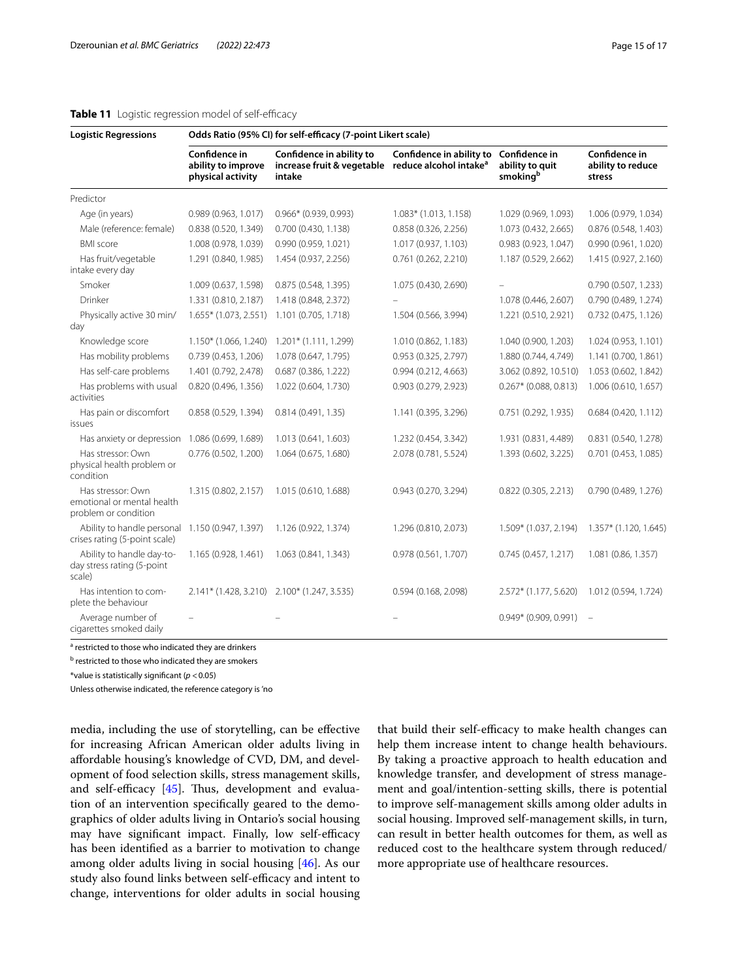<span id="page-14-0"></span>

| <b>Logistic Regressions</b>                                                      |                                                          | Odds Ratio (95% CI) for self-efficacy (7-point Likert scale)     |                                                                |                                              |                                              |
|----------------------------------------------------------------------------------|----------------------------------------------------------|------------------------------------------------------------------|----------------------------------------------------------------|----------------------------------------------|----------------------------------------------|
|                                                                                  | Confidence in<br>ability to improve<br>physical activity | Confidence in ability to<br>increase fruit & vegetable<br>intake | Confidence in ability to<br>reduce alcohol intake <sup>a</sup> | Confidence in<br>ability to quit<br>smokingb | Confidence in<br>ability to reduce<br>stress |
| Predictor                                                                        |                                                          |                                                                  |                                                                |                                              |                                              |
| Age (in years)                                                                   | 0.989 (0.963, 1.017)                                     | 0.966* (0.939, 0.993)                                            | 1.083* (1.013, 1.158)                                          | 1.029 (0.969, 1.093)                         | 1.006 (0.979, 1.034)                         |
| Male (reference: female)                                                         | 0.838 (0.520, 1.349)                                     | 0.700 (0.430, 1.138)                                             | 0.858 (0.326, 2.256)                                           | 1.073 (0.432, 2.665)                         | 0.876 (0.548, 1.403)                         |
| <b>BMI</b> score                                                                 | 1.008 (0.978, 1.039)                                     | 0.990 (0.959, 1.021)                                             | 1.017 (0.937, 1.103)                                           | 0.983 (0.923, 1.047)                         | 0.990 (0.961, 1.020)                         |
| Has fruit/vegetable<br>intake every day                                          | 1.291 (0.840, 1.985)                                     | 1.454 (0.937, 2.256)                                             | 0.761 (0.262, 2.210)                                           | 1.187 (0.529, 2.662)                         | 1.415 (0.927, 2.160)                         |
| Smoker                                                                           | 1.009 (0.637, 1.598)                                     | 0.875 (0.548, 1.395)                                             | 1.075 (0.430, 2.690)                                           |                                              | 0.790 (0.507, 1.233)                         |
| Drinker                                                                          | 1.331 (0.810, 2.187)                                     | 1.418 (0.848, 2.372)                                             |                                                                | 1.078 (0.446, 2.607)                         | 0.790 (0.489, 1.274)                         |
| Physically active 30 min/<br>day                                                 | 1.655* (1.073, 2.551) 1.101 (0.705, 1.718)               |                                                                  | 1.504 (0.566, 3.994)                                           | 1.221 (0.510, 2.921)                         | 0.732 (0.475, 1.126)                         |
| Knowledge score                                                                  | 1.150* (1.066, 1.240)                                    | 1.201* (1.111, 1.299)                                            | 1.010 (0.862, 1.183)                                           | 1.040 (0.900, 1.203)                         | 1.024 (0.953, 1.101)                         |
| Has mobility problems                                                            | 0.739 (0.453, 1.206)                                     | 1.078 (0.647, 1.795)                                             | 0.953 (0.325, 2.797)                                           | 1.880 (0.744, 4.749)                         | 1.141 (0.700, 1.861)                         |
| Has self-care problems                                                           | 1.401 (0.792, 2.478)                                     | 0.687 (0.386, 1.222)                                             | 0.994 (0.212, 4.663)                                           | 3.062 (0.892, 10.510)                        | 1.053 (0.602, 1.842)                         |
| Has problems with usual<br>activities                                            | 0.820 (0.496, 1.356)                                     | 1.022 (0.604, 1.730)                                             | 0.903 (0.279, 2.923)                                           | $0.267*$ (0.088, 0.813)                      | 1.006 (0.610, 1.657)                         |
| Has pain or discomfort<br>issues                                                 | 0.858 (0.529, 1.394)                                     | 0.814(0.491, 1.35)                                               | 1.141 (0.395, 3.296)                                           | 0.751 (0.292, 1.935)                         | 0.684(0.420, 1.112)                          |
| Has anxiety or depression                                                        | 1.086 (0.699, 1.689)                                     | 1.013 (0.641, 1.603)                                             | 1.232 (0.454, 3.342)                                           | 1.931 (0.831, 4.489)                         | 0.831 (0.540, 1.278)                         |
| Has stressor: Own<br>physical health problem or<br>condition                     | 0.776 (0.502, 1.200)                                     | 1.064 (0.675, 1.680)                                             | 2.078 (0.781, 5.524)                                           | 1.393 (0.602, 3.225)                         | 0.701 (0.453, 1.085)                         |
| Has stressor: Own<br>emotional or mental health<br>problem or condition          | 1.315 (0.802, 2.157)                                     | 1.015 (0.610, 1.688)                                             | 0.943 (0.270, 3.294)                                           | 0.822(0.305, 2.213)                          | 0.790(0.489, 1.276)                          |
| Ability to handle personal 1.150 (0.947, 1.397)<br>crises rating (5-point scale) |                                                          | 1.126 (0.922, 1.374)                                             | 1.296 (0.810, 2.073)                                           | 1.509* (1.037, 2.194)                        | 1.357* (1.120, 1.645)                        |
| Ability to handle day-to-<br>day stress rating (5-point<br>scale)                | 1.165 (0.928, 1.461)                                     | 1.063 (0.841, 1.343)                                             | 0.978 (0.561, 1.707)                                           | 0.745(0.457, 1.217)                          | 1.081 (0.86, 1.357)                          |
| Has intention to com-<br>plete the behaviour                                     |                                                          | 2.141* (1.428, 3.210) 2.100* (1.247, 3.535)                      | 0.594 (0.168, 2.098)                                           | 2.572* (1.177, 5.620)                        | 1.012 (0.594, 1.724)                         |
| Average number of<br>cigarettes smoked daily                                     |                                                          |                                                                  |                                                                | $0.949*$ (0.909, 0.991)                      | $\overline{\phantom{a}}$                     |

<sup>a</sup> restricted to those who indicated they are drinkers

<sup>b</sup> restricted to those who indicated they are smokers

\*value is statistically signifcant (*p* <0.05)

Unless otherwise indicated, the reference category is 'no

media, including the use of storytelling, can be efective for increasing African American older adults living in afordable housing's knowledge of CVD, DM, and development of food selection skills, stress management skills, and self-efficacy  $[45]$  $[45]$ . Thus, development and evaluation of an intervention specifcally geared to the demographics of older adults living in Ontario's social housing may have significant impact. Finally, low self-efficacy has been identifed as a barrier to motivation to change among older adults living in social housing [[46](#page-16-19)]. As our study also found links between self-efficacy and intent to change, interventions for older adults in social housing that build their self-efficacy to make health changes can help them increase intent to change health behaviours. By taking a proactive approach to health education and knowledge transfer, and development of stress management and goal/intention-setting skills, there is potential to improve self-management skills among older adults in social housing. Improved self-management skills, in turn, can result in better health outcomes for them, as well as reduced cost to the healthcare system through reduced/ more appropriate use of healthcare resources.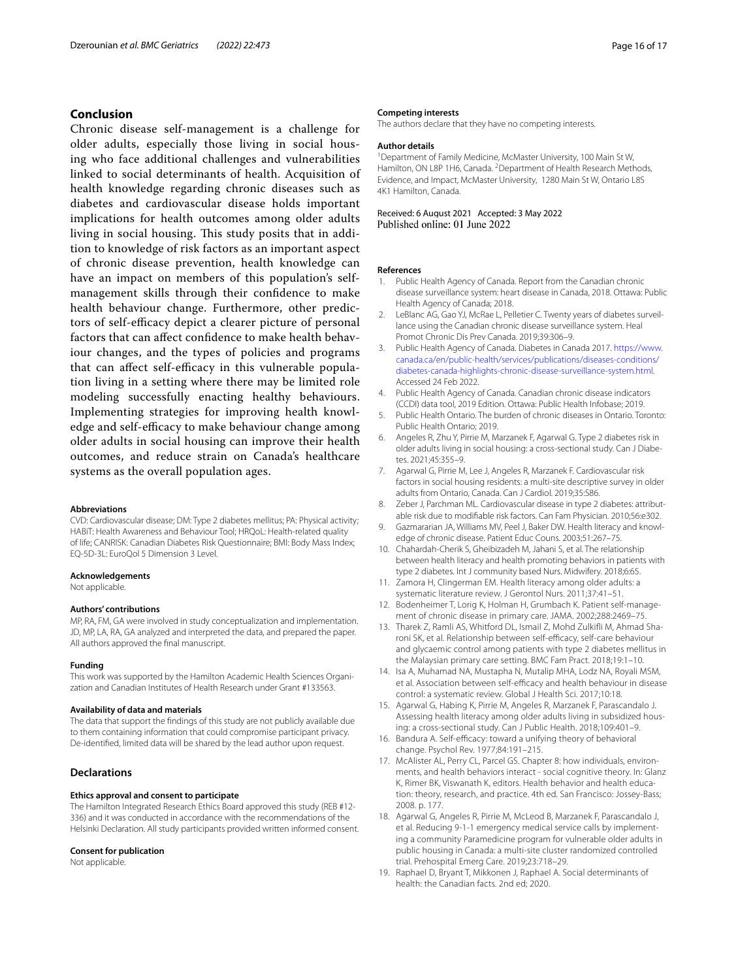# **Conclusion**

Chronic disease self-management is a challenge for older adults, especially those living in social housing who face additional challenges and vulnerabilities linked to social determinants of health. Acquisition of health knowledge regarding chronic diseases such as diabetes and cardiovascular disease holds important implications for health outcomes among older adults living in social housing. This study posits that in addition to knowledge of risk factors as an important aspect of chronic disease prevention, health knowledge can have an impact on members of this population's selfmanagement skills through their confdence to make health behaviour change. Furthermore, other predictors of self-efficacy depict a clearer picture of personal factors that can afect confdence to make health behaviour changes, and the types of policies and programs that can affect self-efficacy in this vulnerable population living in a setting where there may be limited role modeling successfully enacting healthy behaviours. Implementing strategies for improving health knowledge and self-efficacy to make behaviour change among older adults in social housing can improve their health outcomes, and reduce strain on Canada's healthcare systems as the overall population ages.

#### **Abbreviations**

CVD: Cardiovascular disease; DM: Type 2 diabetes mellitus; PA: Physical activity; HABiT: Health Awareness and Behaviour Tool; HRQoL: Health-related quality of life; CANRISK: Canadian Diabetes Risk Questionnaire; BMI: Body Mass Index; EQ-5D-3L: EuroQol 5 Dimension 3 Level.

#### **Acknowledgements**

Not applicable.

#### **Authors' contributions**

MP, RA, FM, GA were involved in study conceptualization and implementation. JD, MP, LA, RA, GA analyzed and interpreted the data, and prepared the paper. All authors approved the fnal manuscript.

#### **Funding**

This work was supported by the Hamilton Academic Health Sciences Organization and Canadian Institutes of Health Research under Grant #133563.

#### **Availability of data and materials**

The data that support the fndings of this study are not publicly available due to them containing information that could compromise participant privacy. De-identifed, limited data will be shared by the lead author upon request.

#### **Declarations**

#### **Ethics approval and consent to participate**

The Hamilton Integrated Research Ethics Board approved this study (REB #12- 336) and it was conducted in accordance with the recommendations of the Helsinki Declaration. All study participants provided written informed consent.

#### **Consent for publication**

Not applicable.

#### **Competing interests**

The authors declare that they have no competing interests.

#### **Author details**

<sup>1</sup> Department of Family Medicine, McMaster University, 100 Main St W, Hamilton, ON L8P 1H6, Canada. <sup>2</sup> Department of Health Research Methods, Evidence, and Impact, McMaster University, 1280 Main St W, Ontario L8S 4K1 Hamilton, Canada.

Received: 6 August 2021 Accepted: 3 May 2022 Published online: 01 June 2022

#### **References**

- <span id="page-15-0"></span>1. Public Health Agency of Canada. Report from the Canadian chronic disease surveillance system: heart disease in Canada, 2018. Ottawa: Public Health Agency of Canada; 2018.
- <span id="page-15-1"></span>2. LeBlanc AG, Gao YJ, McRae L, Pelletier C. Twenty years of diabetes surveillance using the Canadian chronic disease surveillance system. Heal Promot Chronic Dis Prev Canada. 2019;39:306–9.
- <span id="page-15-2"></span>3. Public Health Agency of Canada. Diabetes in Canada 2017. [https://www.](https://www.canada.ca/en/public-health/services/publications/diseases-conditions/diabetes-canada-highlights-chronic-disease-surveillance-system.html) [canada.ca/en/public-health/services/publications/diseases-conditions/](https://www.canada.ca/en/public-health/services/publications/diseases-conditions/diabetes-canada-highlights-chronic-disease-surveillance-system.html) [diabetes-canada-highlights-chronic-disease-surveillance-system.html](https://www.canada.ca/en/public-health/services/publications/diseases-conditions/diabetes-canada-highlights-chronic-disease-surveillance-system.html). Accessed 24 Feb 2022.
- <span id="page-15-3"></span>4. Public Health Agency of Canada. Canadian chronic disease indicators (CCDI) data tool, 2019 Edition. Ottawa: Public Health Infobase; 2019.
- <span id="page-15-4"></span>5. Public Health Ontario. The burden of chronic diseases in Ontario. Toronto: Public Health Ontario; 2019.
- <span id="page-15-5"></span>6. Angeles R, Zhu Y, Pirrie M, Marzanek F, Agarwal G. Type 2 diabetes risk in older adults living in social housing: a cross-sectional study. Can J Diabetes. 2021;45:355–9.
- <span id="page-15-6"></span>7. Agarwal G, Pirrie M, Lee J, Angeles R, Marzanek F. Cardiovascular risk factors in social housing residents: a multi-site descriptive survey in older adults from Ontario, Canada. Can J Cardiol. 2019;35:S86.
- <span id="page-15-7"></span>8. Zeber J, Parchman ML. Cardiovascular disease in type 2 diabetes: attributable risk due to modifable risk factors. Can Fam Physician. 2010;56:e302.
- <span id="page-15-8"></span>9. Gazmararian JA, Williams MV, Peel J, Baker DW. Health literacy and knowledge of chronic disease. Patient Educ Couns. 2003;51:267–75.
- <span id="page-15-9"></span>10. Chahardah-Cherik S, Gheibizadeh M, Jahani S, et al. The relationship between health literacy and health promoting behaviors in patients with type 2 diabetes. Int J community based Nurs. Midwifery. 2018;6:65.
- <span id="page-15-10"></span>11. Zamora H, Clingerman EM. Health literacy among older adults: a systematic literature review. J Gerontol Nurs. 2011;37:41–51.
- <span id="page-15-11"></span>12. Bodenheimer T, Lorig K, Holman H, Grumbach K. Patient self-management of chronic disease in primary care. JAMA. 2002;288:2469–75.
- 13. Tharek Z, Ramli AS, Whitford DL, Ismail Z, Mohd Zulkifi M, Ahmad Sharoni SK, et al. Relationship between self-efficacy, self-care behaviour and glycaemic control among patients with type 2 diabetes mellitus in the Malaysian primary care setting. BMC Fam Pract. 2018;19:1–10.
- <span id="page-15-12"></span>14. Isa A, Muhamad NA, Mustapha N, Mutalip MHA, Lodz NA, Royali MSM, et al. Association between self-efficacy and health behaviour in disease control: a systematic review. Global J Health Sci. 2017;10:18.
- <span id="page-15-13"></span>15. Agarwal G, Habing K, Pirrie M, Angeles R, Marzanek F, Parascandalo J. Assessing health literacy among older adults living in subsidized housing: a cross-sectional study. Can J Public Health. 2018;109:401–9.
- <span id="page-15-14"></span>16. Bandura A. Self-efficacy: toward a unifying theory of behavioral change. Psychol Rev. 1977;84:191–215.
- <span id="page-15-15"></span>17. McAlister AL, Perry CL, Parcel GS. Chapter 8: how individuals, environments, and health behaviors interact - social cognitive theory. In: Glanz K, Rimer BK, Viswanath K, editors. Health behavior and health education: theory, research, and practice. 4th ed. San Francisco: Jossey-Bass; 2008. p. 177.
- <span id="page-15-16"></span>18. Agarwal G, Angeles R, Pirrie M, McLeod B, Marzanek F, Parascandalo J, et al. Reducing 9-1-1 emergency medical service calls by implementing a community Paramedicine program for vulnerable older adults in public housing in Canada: a multi-site cluster randomized controlled trial. Prehospital Emerg Care. 2019;23:718–29.
- <span id="page-15-17"></span>19. Raphael D, Bryant T, Mikkonen J, Raphael A. Social determinants of health: the Canadian facts. 2nd ed; 2020.